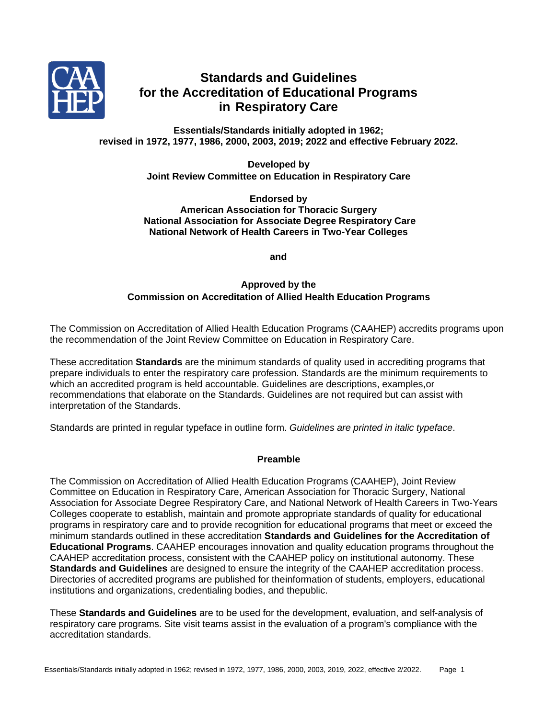

# **Standards and Guidelines for the Accreditation of Educational Programs in Respiratory Care**

**Essentials/Standards initially adopted in 1962; revised in 1972, 1977, 1986, 2000, 2003, 2019; 2022 and effective February 2022.**

> **Developed by Joint Review Committee on Education in Respiratory Care**

**Endorsed by American Association for Thoracic Surgery National Association for Associate Degree Respiratory Care National Network of Health Careers in Two-Year Colleges**

**and**

## **Approved by the Commission on Accreditation of Allied Health Education Programs**

The Commission on Accreditation of Allied Health Education Programs (CAAHEP) accredits programs upon the recommendation of the Joint Review Committee on Education in Respiratory Care.

These accreditation **Standards** are the minimum standards of quality used in accrediting programs that prepare individuals to enter the respiratory care profession. Standards are the minimum requirements to which an accredited program is held accountable. Guidelines are descriptions, examples,or recommendations that elaborate on the Standards. Guidelines are not required but can assist with interpretation of the Standards.

Standards are printed in regular typeface in outline form. *Guidelines are printed in italic typeface*.

#### **Preamble**

The Commission on Accreditation of Allied Health Education Programs (CAAHEP), Joint Review Committee on Education in Respiratory Care, American Association for Thoracic Surgery, National Association for Associate Degree Respiratory Care, and National Network of Health Careers in Two-Years Colleges cooperate to establish, maintain and promote appropriate standards of quality for educational programs in respiratory care and to provide recognition for educational programs that meet or exceed the minimum standards outlined in these accreditation **Standards and Guidelines for the Accreditation of Educational Programs**. CAAHEP encourages innovation and quality education programs throughout the CAAHEP accreditation process, consistent with the CAAHEP policy on institutional autonomy. These **Standards and Guidelines** are designed to ensure the integrity of the CAAHEP accreditation process. Directories of accredited programs are published for theinformation of students, employers, educational institutions and organizations, credentialing bodies, and thepublic.

These **Standards and Guidelines** are to be used for the development, evaluation, and self-analysis of respiratory care programs. Site visit teams assist in the evaluation of a program's compliance with the accreditation standards.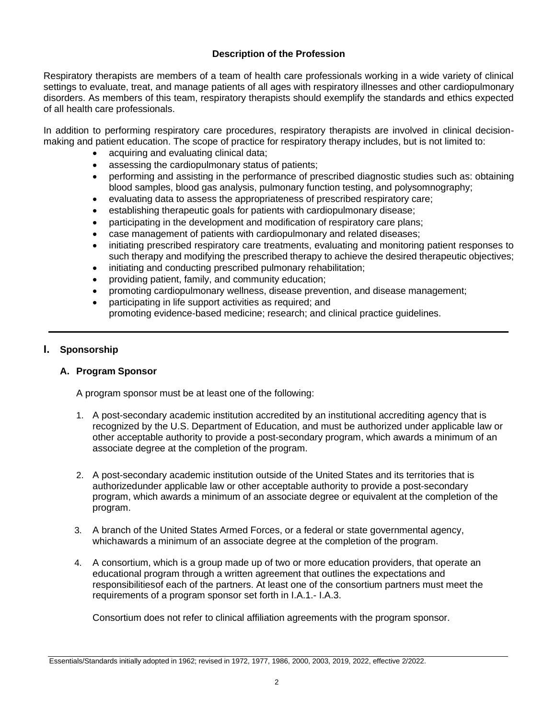## **Description of the Profession**

Respiratory therapists are members of a team of health care professionals working in a wide variety of clinical settings to evaluate, treat, and manage patients of all ages with respiratory illnesses and other cardiopulmonary disorders. As members of this team, respiratory therapists should exemplify the standards and ethics expected of all health care professionals.

In addition to performing respiratory care procedures, respiratory therapists are involved in clinical decisionmaking and patient education. The scope of practice for respiratory therapy includes, but is not limited to:

- acquiring and evaluating clinical data;
- assessing the cardiopulmonary status of patients;
- performing and assisting in the performance of prescribed diagnostic studies such as: obtaining blood samples, blood gas analysis, pulmonary function testing, and polysomnography;
- evaluating data to assess the appropriateness of prescribed respiratory care;
- establishing therapeutic goals for patients with cardiopulmonary disease;
- participating in the development and modification of respiratory care plans;
- case management of patients with cardiopulmonary and related diseases;
- initiating prescribed respiratory care treatments, evaluating and monitoring patient responses to such therapy and modifying the prescribed therapy to achieve the desired therapeutic objectives;
- initiating and conducting prescribed pulmonary rehabilitation;
- providing patient, family, and community education;
- promoting cardiopulmonary wellness, disease prevention, and disease management;
- participating in life support activities as required; and promoting evidence-based medicine; research; and clinical practice guidelines.

## **I. Sponsorship**

#### **A. Program Sponsor**

A program sponsor must be at least one of the following:

- 1. A post-secondary academic institution accredited by an institutional accrediting agency that is recognized by the U.S. Department of Education, and must be authorized under applicable law or other acceptable authority to provide a post-secondary program, which awards a minimum of an associate degree at the completion of the program.
- 2. A post-secondary academic institution outside of the United States and its territories that is authorizedunder applicable law or other acceptable authority to provide a post-secondary program, which awards a minimum of an associate degree or equivalent at the completion of the program.
- 3. A branch of the United States Armed Forces, or a federal or state governmental agency, whichawards a minimum of an associate degree at the completion of the program.
- 4. A consortium, which is a group made up of two or more education providers, that operate an educational program through a written agreement that outlines the expectations and responsibilitiesof each of the partners. At least one of the consortium partners must meet the requirements of a program sponsor set forth in I.A.1.- I.A.3.

Consortium does not refer to clinical affiliation agreements with the program sponsor.

Essentials/Standards initially adopted in 1962; revised in 1972, 1977, 1986, 2000, 2003, 2019, 2022, effective 2/2022.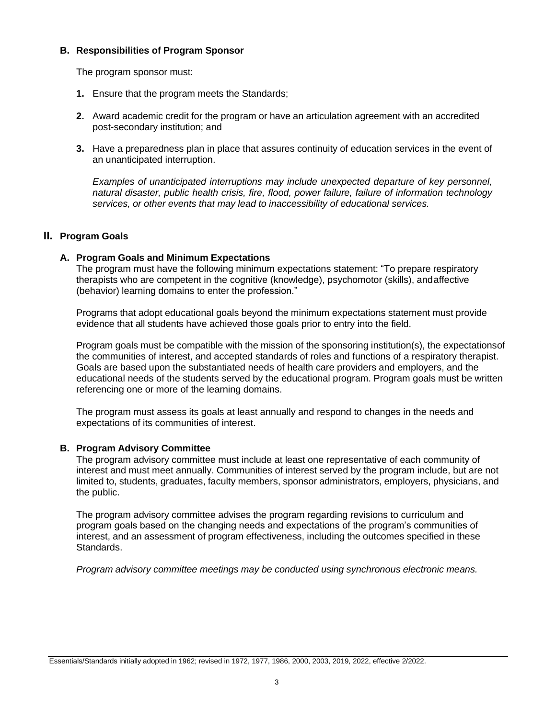## **B. Responsibilities of Program Sponsor**

The program sponsor must:

- **1.** Ensure that the program meets the Standards;
- **2.** Award academic credit for the program or have an articulation agreement with an accredited post-secondary institution; and
- **3.** Have a preparedness plan in place that assures continuity of education services in the event of an unanticipated interruption.

*Examples of unanticipated interruptions may include unexpected departure of key personnel, natural disaster, public health crisis, fire, flood, power failure, failure of information technology services, or other events that may lead to inaccessibility of educational services.*

## **II. Program Goals**

## **A. Program Goals and Minimum Expectations**

The program must have the following minimum expectations statement: "To prepare respiratory therapists who are competent in the cognitive (knowledge), psychomotor (skills), and affective (behavior) learning domains to enter the profession."

Programs that adopt educational goals beyond the minimum expectations statement must provide evidence that all students have achieved those goals prior to entry into the field.

Program goals must be compatible with the mission of the sponsoring institution(s), the expectationsof the communities of interest, and accepted standards of roles and functions of a respiratory therapist. Goals are based upon the substantiated needs of health care providers and employers, and the educational needs of the students served by the educational program. Program goals must be written referencing one or more of the learning domains.

The program must assess its goals at least annually and respond to changes in the needs and expectations of its communities of interest.

## **B. Program Advisory Committee**

The program advisory committee must include at least one representative of each community of interest and must meet annually. Communities of interest served by the program include, but are not limited to, students, graduates, faculty members, sponsor administrators, employers, physicians, and the public.

The program advisory committee advises the program regarding revisions to curriculum and program goals based on the changing needs and expectations of the program's communities of interest, and an assessment of program effectiveness, including the outcomes specified in these Standards.

*Program advisory committee meetings may be conducted using synchronous electronic means.*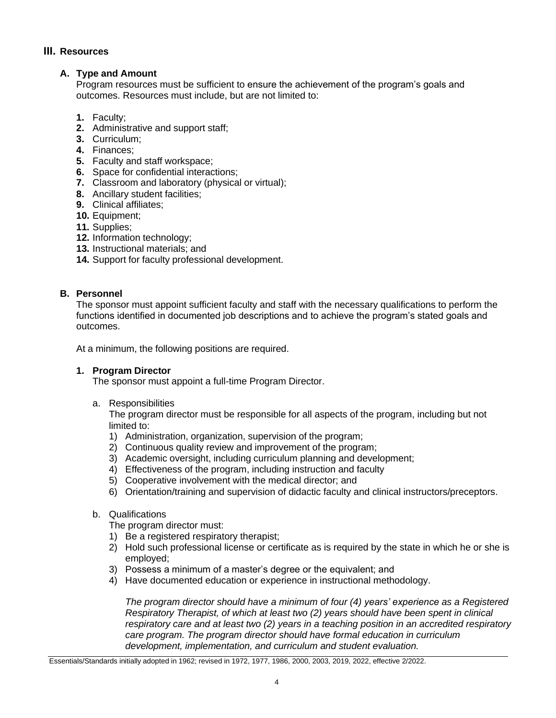## **III. Resources**

## **A. Type and Amount**

Program resources must be sufficient to ensure the achievement of the program's goals and outcomes. Resources must include, but are not limited to:

## **1.** Faculty;

- **2.** Administrative and support staff;
- **3.** Curriculum;
- **4.** Finances;
- **5.** Faculty and staff workspace;
- **6.** Space for confidential interactions;
- **7.** Classroom and laboratory (physical or virtual);
- **8.** Ancillary student facilities;
- **9.** Clinical affiliates;
- **10.** Equipment;
- **11.** Supplies;
- **12.** Information technology;
- **13.** Instructional materials; and
- **14.** Support for faculty professional development.

## **B. Personnel**

The sponsor must appoint sufficient faculty and staff with the necessary qualifications to perform the functions identified in documented job descriptions and to achieve the program's stated goals and outcomes.

At a minimum, the following positions are required.

#### **1. Program Director**

The sponsor must appoint a full-time Program Director.

a. Responsibilities

The program director must be responsible for all aspects of the program, including but not limited to:

- 1) Administration, organization, supervision of the program;
- 2) Continuous quality review and improvement of the program;
- 3) Academic oversight, including curriculum planning and development;
- 4) Effectiveness of the program, including instruction and faculty
- 5) Cooperative involvement with the medical director; and
- 6) Orientation/training and supervision of didactic faculty and clinical instructors/preceptors.

## b. Qualifications

The program director must:

- 1) Be a registered respiratory therapist;
- 2) Hold such professional license or certificate as is required by the state in which he or she is employed;
- 3) Possess a minimum of a master's degree or the equivalent; and
- 4) Have documented education or experience in instructional methodology.

*The program director should have a minimum of four (4) years' experience as a Registered Respiratory Therapist, of which at least two (2) years should have been spent in clinical respiratory care and at least two (2) years in a teaching position in an accredited respiratory care program. The program director should have formal education in curriculum development, implementation, and curriculum and student evaluation.*

Essentials/Standards initially adopted in 1962; revised in 1972, 1977, 1986, 2000, 2003, 2019, 2022, effective 2/2022.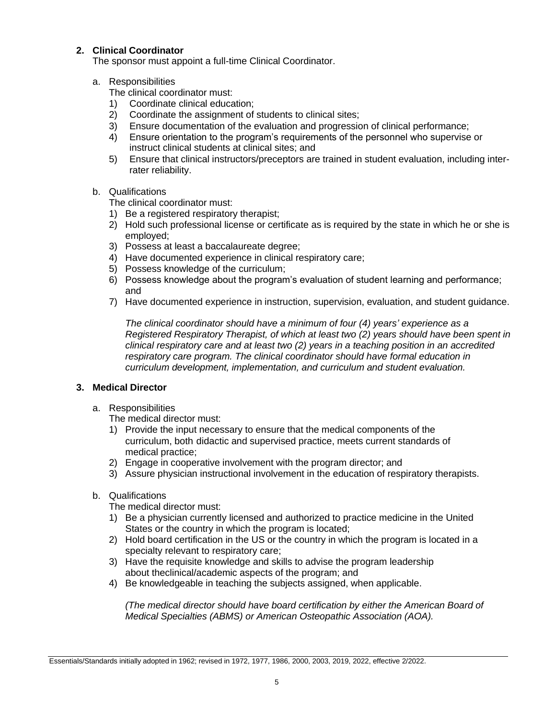## **2. Clinical Coordinator**

The sponsor must appoint a full-time Clinical Coordinator.

#### a. Responsibilities

The clinical coordinator must:

- 1) Coordinate clinical education;
- 2) Coordinate the assignment of students to clinical sites;
- 3) Ensure documentation of the evaluation and progression of clinical performance;
- 4) Ensure orientation to the program's requirements of the personnel who supervise or instruct clinical students at clinical sites; and
- 5) Ensure that clinical instructors/preceptors are trained in student evaluation, including interrater reliability.

## b. Qualifications

The clinical coordinator must:

- 1) Be a registered respiratory therapist;
- 2) Hold such professional license or certificate as is required by the state in which he or she is employed;
- 3) Possess at least a baccalaureate degree;
- 4) Have documented experience in clinical respiratory care;
- 5) Possess knowledge of the curriculum;
- 6) Possess knowledge about the program's evaluation of student learning and performance; and
- 7) Have documented experience in instruction, supervision, evaluation, and student guidance.

*The clinical coordinator should have a minimum of four (4) years' experience as a Registered Respiratory Therapist, of which at least two (2) years should have been spent in clinical respiratory care and at least two (2) years in a teaching position in an accredited respiratory care program. The clinical coordinator should have formal education in curriculum development, implementation, and curriculum and student evaluation.*

## **3. Medical Director**

a. Responsibilities

The medical director must:

- 1) Provide the input necessary to ensure that the medical components of the curriculum, both didactic and supervised practice, meets current standards of medical practice;
- 2) Engage in cooperative involvement with the program director; and
- 3) Assure physician instructional involvement in the education of respiratory therapists.
- b. Qualifications

The medical director must:

- 1) Be a physician currently licensed and authorized to practice medicine in the United States or the country in which the program is located;
- 2) Hold board certification in the US or the country in which the program is located in a specialty relevant to respiratory care;
- 3) Have the requisite knowledge and skills to advise the program leadership about theclinical/academic aspects of the program; and
- 4) Be knowledgeable in teaching the subjects assigned, when applicable.

*(The medical director should have board certification by either the American Board of Medical Specialties (ABMS) or American Osteopathic Association (AOA).*

Essentials/Standards initially adopted in 1962; revised in 1972, 1977, 1986, 2000, 2003, 2019, 2022, effective 2/2022.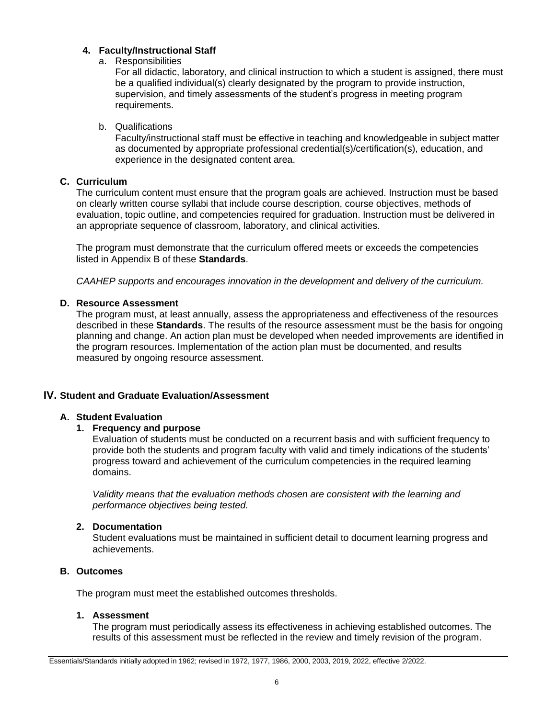## **4. Faculty/Instructional Staff**

a. Responsibilities

For all didactic, laboratory, and clinical instruction to which a student is assigned, there must be a qualified individual(s) clearly designated by the program to provide instruction, supervision, and timely assessments of the student's progress in meeting program requirements.

b. Qualifications

Faculty/instructional staff must be effective in teaching and knowledgeable in subject matter as documented by appropriate professional credential(s)/certification(s), education, and experience in the designated content area.

## **C. Curriculum**

The curriculum content must ensure that the program goals are achieved. Instruction must be based on clearly written course syllabi that include course description, course objectives, methods of evaluation, topic outline, and competencies required for graduation. Instruction must be delivered in an appropriate sequence of classroom, laboratory, and clinical activities.

The program must demonstrate that the curriculum offered meets or exceeds the competencies listed in Appendix B of these **Standards**.

*CAAHEP supports and encourages innovation in the development and delivery of the curriculum.*

## **D. Resource Assessment**

The program must, at least annually, assess the appropriateness and effectiveness of the resources described in these **Standards**. The results of the resource assessment must be the basis for ongoing planning and change. An action plan must be developed when needed improvements are identified in the program resources. Implementation of the action plan must be documented, and results measured by ongoing resource assessment.

## **IV. Student and Graduate Evaluation/Assessment**

#### **A. Student Evaluation**

#### **1. Frequency and purpose**

Evaluation of students must be conducted on a recurrent basis and with sufficient frequency to provide both the students and program faculty with valid and timely indications of the students' progress toward and achievement of the curriculum competencies in the required learning domains.

*Validity means that the evaluation methods chosen are consistent with the learning and performance objectives being tested.*

#### **2. Documentation**

Student evaluations must be maintained in sufficient detail to document learning progress and achievements.

## **B. Outcomes**

The program must meet the established outcomes thresholds.

#### **1. Assessment**

The program must periodically assess its effectiveness in achieving established outcomes. The results of this assessment must be reflected in the review and timely revision of the program.

Essentials/Standards initially adopted in 1962; revised in 1972, 1977, 1986, 2000, 2003, 2019, 2022, effective 2/2022.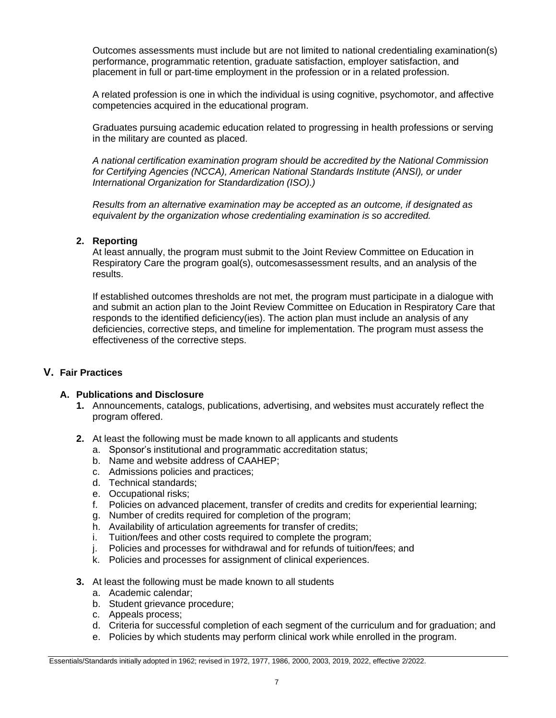Outcomes assessments must include but are not limited to national credentialing examination(s) performance, programmatic retention, graduate satisfaction, employer satisfaction, and placement in full or part-time employment in the profession or in a related profession.

A related profession is one in which the individual is using cognitive, psychomotor, and affective competencies acquired in the educational program.

Graduates pursuing academic education related to progressing in health professions or serving in the military are counted as placed.

*A national certification examination program should be accredited by the National Commission for Certifying Agencies (NCCA), American National Standards Institute (ANSI), or under International Organization for Standardization (ISO).)*

*Results from an alternative examination may be accepted as an outcome, if designated as equivalent by the organization whose credentialing examination is so accredited.*

#### **2. Reporting**

At least annually, the program must submit to the Joint Review Committee on Education in Respiratory Care the program goal(s), outcomesassessment results, and an analysis of the results.

If established outcomes thresholds are not met, the program must participate in a dialogue with and submit an action plan to the Joint Review Committee on Education in Respiratory Care that responds to the identified deficiency(ies). The action plan must include an analysis of any deficiencies, corrective steps, and timeline for implementation. The program must assess the effectiveness of the corrective steps.

#### **V. Fair Practices**

#### **A. Publications and Disclosure**

- **1.** Announcements, catalogs, publications, advertising, and websites must accurately reflect the program offered.
- **2.** At least the following must be made known to all applicants and students
	- a. Sponsor's institutional and programmatic accreditation status;
	- b. Name and website address of CAAHEP;
	- c. Admissions policies and practices;
	- d. Technical standards;
	- e. Occupational risks;
	- f. Policies on advanced placement, transfer of credits and credits for experiential learning;
	- g. Number of credits required for completion of the program;
	- h. Availability of articulation agreements for transfer of credits;
	- i. Tuition/fees and other costs required to complete the program;
	- j. Policies and processes for withdrawal and for refunds of tuition/fees; and
	- k. Policies and processes for assignment of clinical experiences.
- **3.** At least the following must be made known to all students
	- a. Academic calendar;
	- b. Student grievance procedure;
	- c. Appeals process;
	- d. Criteria for successful completion of each segment of the curriculum and for graduation; and
	- e. Policies by which students may perform clinical work while enrolled in the program.

Essentials/Standards initially adopted in 1962; revised in 1972, 1977, 1986, 2000, 2003, 2019, 2022, effective 2/2022.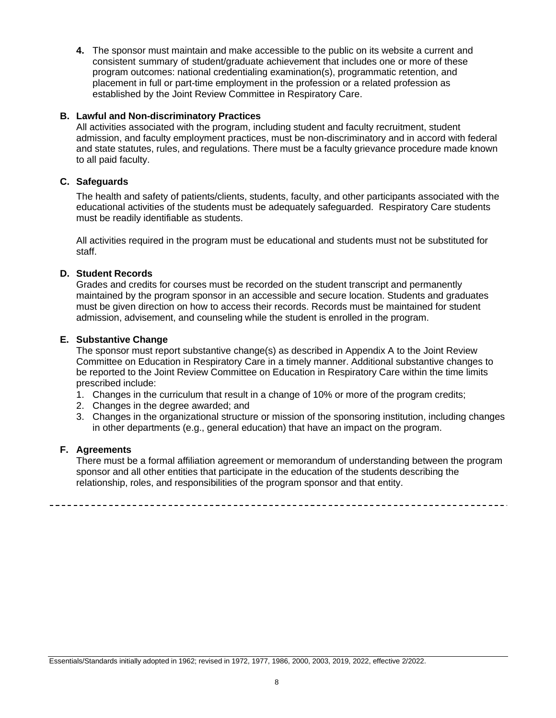**4.** The sponsor must maintain and make accessible to the public on its website a current and consistent summary of student/graduate achievement that includes one or more of these program outcomes: national credentialing examination(s), programmatic retention, and placement in full or part-time employment in the profession or a related profession as established by the Joint Review Committee in Respiratory Care.

## **B. Lawful and Non-discriminatory Practices**

All activities associated with the program, including student and faculty recruitment, student admission, and faculty employment practices, must be non-discriminatory and in accord with federal and state statutes, rules, and regulations. There must be a faculty grievance procedure made known to all paid faculty.

## **C. Safeguards**

The health and safety of patients/clients, students, faculty, and other participants associated with the educational activities of the students must be adequately safeguarded. Respiratory Care students must be readily identifiable as students.

All activities required in the program must be educational and students must not be substituted for staff.

## **D. Student Records**

Grades and credits for courses must be recorded on the student transcript and permanently maintained by the program sponsor in an accessible and secure location. Students and graduates must be given direction on how to access their records. Records must be maintained for student admission, advisement, and counseling while the student is enrolled in the program.

## **E. Substantive Change**

The sponsor must report substantive change(s) as described in Appendix A to the Joint Review Committee on Education in Respiratory Care in a timely manner. Additional substantive changes to be reported to the Joint Review Committee on Education in Respiratory Care within the time limits prescribed include:

- 1. Changes in the curriculum that result in a change of 10% or more of the program credits;
- 2. Changes in the degree awarded; and
- 3. Changes in the organizational structure or mission of the sponsoring institution, including changes in other departments (e.g., general education) that have an impact on the program.

## **F. Agreements**

There must be a formal affiliation agreement or memorandum of understanding between the program sponsor and all other entities that participate in the education of the students describing the relationship, roles, and responsibilities of the program sponsor and that entity.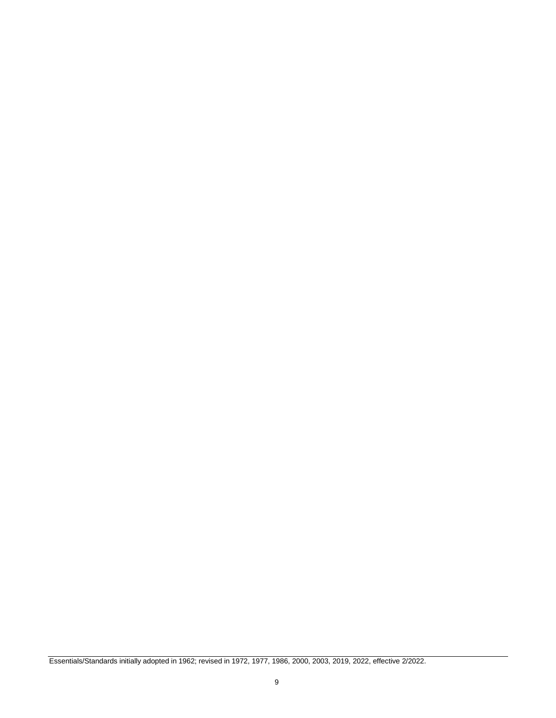Essentials/Standards initially adopted in 1962; revised in 1972, 1977, 1986, 2000, 2003, 2019, 2022, effective 2/2022.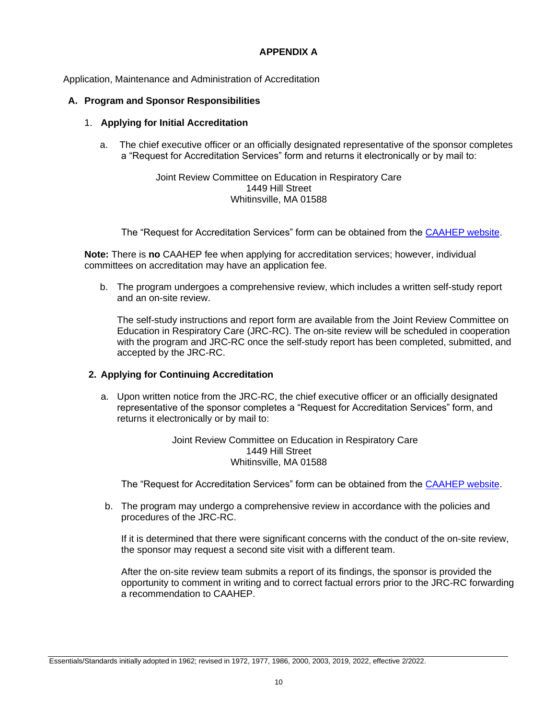## **APPENDIX A**

Application, Maintenance and Administration of Accreditation

#### **A. Program and Sponsor Responsibilities**

#### 1. **Applying for Initial Accreditation**

a. The chief executive officer or an officially designated representative of the sponsor completes a "Request for Accreditation Services" form and returns it electronically or by mail to:

> Joint Review Committee on Education in Respiratory Care 1449 Hill Street Whitinsville, MA 01588

The "Request for Accreditation Services" form can be obtained from the [CAAHEP website.](https://www.cognitoforms.com/CAAHEP2/RequestForAccreditationServices)

**Note:** There is **no** CAAHEP fee when applying for accreditation services; however, individual committees on accreditation may have an application fee.

b. The program undergoes a comprehensive review, which includes a written self-study report and an on-site review.

The self-study instructions and report form are available from the Joint Review Committee on Education in Respiratory Care (JRC-RC). The on-site review will be scheduled in cooperation with the program and JRC-RC once the self-study report has been completed, submitted, and accepted by the JRC-RC.

#### **2. Applying for Continuing Accreditation**

a. Upon written notice from the JRC-RC, the chief executive officer or an officially designated representative of the sponsor completes a "Request for Accreditation Services" form, and returns it electronically or by mail to:

> Joint Review Committee on Education in Respiratory Care 1449 Hill Street Whitinsville, MA 01588

The "Request for Accreditation Services" form can be obtained from the [CAAHEP website.](https://www.cognitoforms.com/CAAHEP2/RequestForAccreditationServices)

b. The program may undergo a comprehensive review in accordance with the policies and procedures of the JRC-RC.

If it is determined that there were significant concerns with the conduct of the on-site review, the sponsor may request a second site visit with a different team.

After the on-site review team submits a report of its findings, the sponsor is provided the opportunity to comment in writing and to correct factual errors prior to the JRC-RC forwarding a recommendation to CAAHEP.

Essentials/Standards initially adopted in 1962; revised in 1972, 1977, 1986, 2000, 2003, 2019, 2022, effective 2/2022.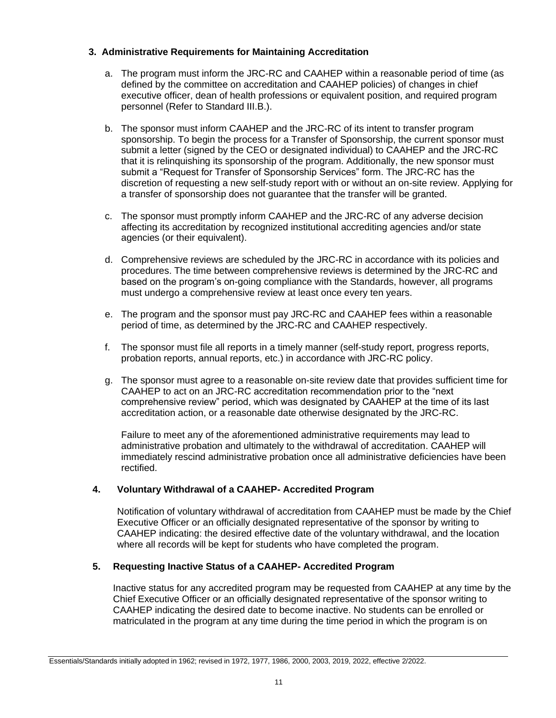## **3. Administrative Requirements for Maintaining Accreditation**

- a. The program must inform the JRC-RC and CAAHEP within a reasonable period of time (as defined by the committee on accreditation and CAAHEP policies) of changes in chief executive officer, dean of health professions or equivalent position, and required program personnel (Refer to Standard III.B.).
- b. The sponsor must inform CAAHEP and the JRC-RC of its intent to transfer program sponsorship. To begin the process for a Transfer of Sponsorship, the current sponsor must submit a letter (signed by the CEO or designated individual) to CAAHEP and the JRC-RC that it is relinquishing its sponsorship of the program. Additionally, the new sponsor must submit a "Request for Transfer of Sponsorship Services" form. The JRC-RC has the discretion of requesting a new self-study report with or without an on-site review. Applying for a transfer of sponsorship does not guarantee that the transfer will be granted.
- c. The sponsor must promptly inform CAAHEP and the JRC-RC of any adverse decision affecting its accreditation by recognized institutional accrediting agencies and/or state agencies (or their equivalent).
- d. Comprehensive reviews are scheduled by the JRC-RC in accordance with its policies and procedures. The time between comprehensive reviews is determined by the JRC-RC and based on the program's on-going compliance with the Standards, however, all programs must undergo a comprehensive review at least once every ten years.
- e. The program and the sponsor must pay JRC-RC and CAAHEP fees within a reasonable period of time, as determined by the JRC-RC and CAAHEP respectively.
- f. The sponsor must file all reports in a timely manner (self-study report, progress reports, probation reports, annual reports, etc.) in accordance with JRC-RC policy.
- g. The sponsor must agree to a reasonable on-site review date that provides sufficient time for CAAHEP to act on an JRC-RC accreditation recommendation prior to the "next comprehensive review" period, which was designated by CAAHEP at the time of its last accreditation action, or a reasonable date otherwise designated by the JRC-RC.

Failure to meet any of the aforementioned administrative requirements may lead to administrative probation and ultimately to the withdrawal of accreditation. CAAHEP will immediately rescind administrative probation once all administrative deficiencies have been rectified.

## **4. Voluntary Withdrawal of a CAAHEP- Accredited Program**

Notification of voluntary withdrawal of accreditation from CAAHEP must be made by the Chief Executive Officer or an officially designated representative of the sponsor by writing to CAAHEP indicating: the desired effective date of the voluntary withdrawal, and the location where all records will be kept for students who have completed the program.

#### **5. Requesting Inactive Status of a CAAHEP- Accredited Program**

Inactive status for any accredited program may be requested from CAAHEP at any time by the Chief Executive Officer or an officially designated representative of the sponsor writing to CAAHEP indicating the desired date to become inactive. No students can be enrolled or matriculated in the program at any time during the time period in which the program is on

Essentials/Standards initially adopted in 1962; revised in 1972, 1977, 1986, 2000, 2003, 2019, 2022, effective 2/2022.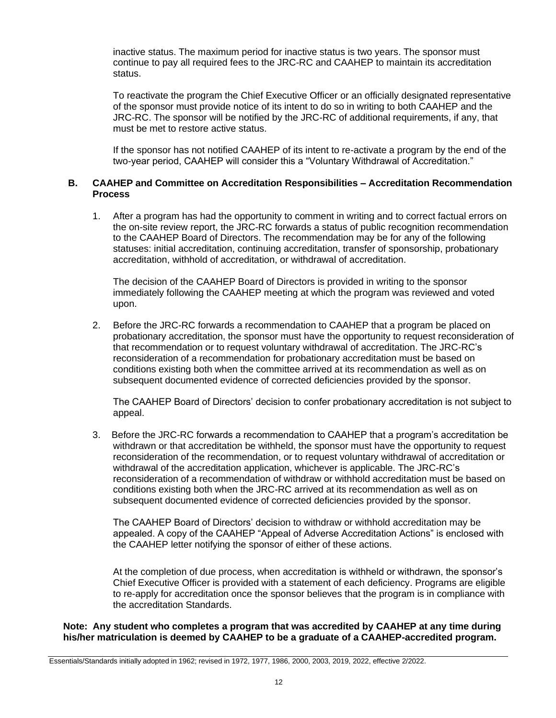inactive status. The maximum period for inactive status is two years. The sponsor must continue to pay all required fees to the JRC-RC and CAAHEP to maintain its accreditation status.

To reactivate the program the Chief Executive Officer or an officially designated representative of the sponsor must provide notice of its intent to do so in writing to both CAAHEP and the JRC-RC. The sponsor will be notified by the JRC-RC of additional requirements, if any, that must be met to restore active status.

If the sponsor has not notified CAAHEP of its intent to re-activate a program by the end of the two-year period, CAAHEP will consider this a "Voluntary Withdrawal of Accreditation."

## **B. CAAHEP and Committee on Accreditation Responsibilities – Accreditation Recommendation Process**

1. After a program has had the opportunity to comment in writing and to correct factual errors on the on-site review report, the JRC-RC forwards a status of public recognition recommendation to the CAAHEP Board of Directors. The recommendation may be for any of the following statuses: initial accreditation, continuing accreditation, transfer of sponsorship, probationary accreditation, withhold of accreditation, or withdrawal of accreditation.

The decision of the CAAHEP Board of Directors is provided in writing to the sponsor immediately following the CAAHEP meeting at which the program was reviewed and voted upon.

2. Before the JRC-RC forwards a recommendation to CAAHEP that a program be placed on probationary accreditation, the sponsor must have the opportunity to request reconsideration of that recommendation or to request voluntary withdrawal of accreditation. The JRC-RC's reconsideration of a recommendation for probationary accreditation must be based on conditions existing both when the committee arrived at its recommendation as well as on subsequent documented evidence of corrected deficiencies provided by the sponsor.

The CAAHEP Board of Directors' decision to confer probationary accreditation is not subject to appeal.

3. Before the JRC-RC forwards a recommendation to CAAHEP that a program's accreditation be withdrawn or that accreditation be withheld, the sponsor must have the opportunity to request reconsideration of the recommendation, or to request voluntary withdrawal of accreditation or withdrawal of the accreditation application, whichever is applicable. The JRC-RC's reconsideration of a recommendation of withdraw or withhold accreditation must be based on conditions existing both when the JRC-RC arrived at its recommendation as well as on subsequent documented evidence of corrected deficiencies provided by the sponsor.

The CAAHEP Board of Directors' decision to withdraw or withhold accreditation may be appealed. A copy of the CAAHEP "Appeal of Adverse Accreditation Actions" is enclosed with the CAAHEP letter notifying the sponsor of either of these actions.

At the completion of due process, when accreditation is withheld or withdrawn, the sponsor's Chief Executive Officer is provided with a statement of each deficiency. Programs are eligible to re-apply for accreditation once the sponsor believes that the program is in compliance with the accreditation Standards.

#### **Note: Any student who completes a program that was accredited by CAAHEP at any time during his/her matriculation is deemed by CAAHEP to be a graduate of a CAAHEP-accredited program.**

Essentials/Standards initially adopted in 1962; revised in 1972, 1977, 1986, 2000, 2003, 2019, 2022, effective 2/2022.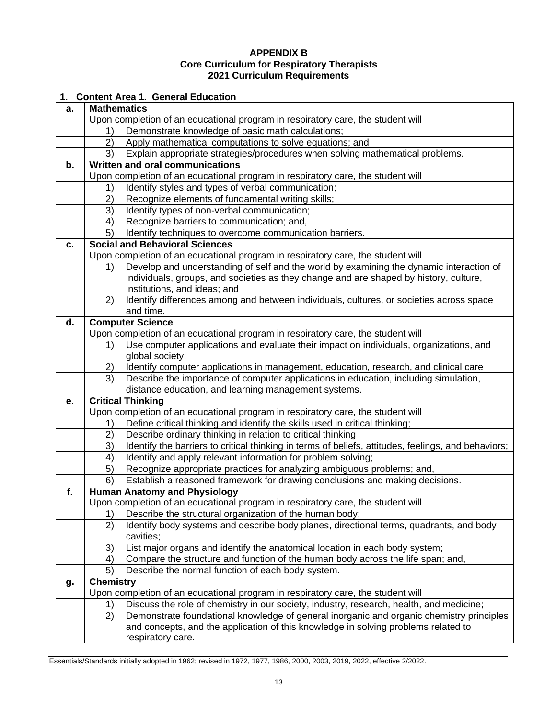## **APPENDIX B Core Curriculum for Respiratory Therapists 2021 Curriculum Requirements**

## **1. Content Area 1. General Education**

| а. | <b>Mathematics</b>                                                                  |                                                                                                     |  |  |  |  |  |  |  |
|----|-------------------------------------------------------------------------------------|-----------------------------------------------------------------------------------------------------|--|--|--|--|--|--|--|
|    |                                                                                     | Upon completion of an educational program in respiratory care, the student will                     |  |  |  |  |  |  |  |
|    | 1)                                                                                  | Demonstrate knowledge of basic math calculations;                                                   |  |  |  |  |  |  |  |
|    | 2)                                                                                  | Apply mathematical computations to solve equations; and                                             |  |  |  |  |  |  |  |
|    | Explain appropriate strategies/procedures when solving mathematical problems.<br>3) |                                                                                                     |  |  |  |  |  |  |  |
| b. | <b>Written and oral communications</b>                                              |                                                                                                     |  |  |  |  |  |  |  |
|    |                                                                                     | Upon completion of an educational program in respiratory care, the student will                     |  |  |  |  |  |  |  |
|    | $\left( \begin{matrix} 1 \end{matrix} \right)$                                      | Identify styles and types of verbal communication;                                                  |  |  |  |  |  |  |  |
|    | 2)                                                                                  | Recognize elements of fundamental writing skills;                                                   |  |  |  |  |  |  |  |
|    | 3)                                                                                  | Identify types of non-verbal communication;                                                         |  |  |  |  |  |  |  |
|    | 4)                                                                                  | Recognize barriers to communication; and,                                                           |  |  |  |  |  |  |  |
|    | 5)                                                                                  | Identify techniques to overcome communication barriers.                                             |  |  |  |  |  |  |  |
| c. |                                                                                     | <b>Social and Behavioral Sciences</b>                                                               |  |  |  |  |  |  |  |
|    |                                                                                     | Upon completion of an educational program in respiratory care, the student will                     |  |  |  |  |  |  |  |
|    | 1)                                                                                  | Develop and understanding of self and the world by examining the dynamic interaction of             |  |  |  |  |  |  |  |
|    |                                                                                     | individuals, groups, and societies as they change and are shaped by history, culture,               |  |  |  |  |  |  |  |
|    |                                                                                     | institutions, and ideas; and                                                                        |  |  |  |  |  |  |  |
|    | 2)                                                                                  | Identify differences among and between individuals, cultures, or societies across space             |  |  |  |  |  |  |  |
|    |                                                                                     | and time.                                                                                           |  |  |  |  |  |  |  |
| d. |                                                                                     | <b>Computer Science</b>                                                                             |  |  |  |  |  |  |  |
|    |                                                                                     | Upon completion of an educational program in respiratory care, the student will                     |  |  |  |  |  |  |  |
|    | 1)                                                                                  | Use computer applications and evaluate their impact on individuals, organizations, and              |  |  |  |  |  |  |  |
|    |                                                                                     | global society;                                                                                     |  |  |  |  |  |  |  |
|    | 2)                                                                                  | Identify computer applications in management, education, research, and clinical care                |  |  |  |  |  |  |  |
|    | 3)                                                                                  | Describe the importance of computer applications in education, including simulation,                |  |  |  |  |  |  |  |
|    |                                                                                     | distance education, and learning management systems.                                                |  |  |  |  |  |  |  |
| е. |                                                                                     | <b>Critical Thinking</b>                                                                            |  |  |  |  |  |  |  |
|    |                                                                                     | Upon completion of an educational program in respiratory care, the student will                     |  |  |  |  |  |  |  |
|    | 1)                                                                                  | Define critical thinking and identify the skills used in critical thinking;                         |  |  |  |  |  |  |  |
|    | 2)                                                                                  | Describe ordinary thinking in relation to critical thinking                                         |  |  |  |  |  |  |  |
|    | 3)                                                                                  | Identify the barriers to critical thinking in terms of beliefs, attitudes, feelings, and behaviors; |  |  |  |  |  |  |  |
|    | 4)                                                                                  | Identify and apply relevant information for problem solving;                                        |  |  |  |  |  |  |  |
|    | 5)                                                                                  | Recognize appropriate practices for analyzing ambiguous problems; and,                              |  |  |  |  |  |  |  |
|    | 6)                                                                                  | Establish a reasoned framework for drawing conclusions and making decisions.                        |  |  |  |  |  |  |  |
| f. |                                                                                     | <b>Human Anatomy and Physiology</b>                                                                 |  |  |  |  |  |  |  |
|    |                                                                                     | Upon completion of an educational program in respiratory care, the student will                     |  |  |  |  |  |  |  |
|    | 1)                                                                                  | Describe the structural organization of the human body;                                             |  |  |  |  |  |  |  |
|    | 2)                                                                                  | Identify body systems and describe body planes, directional terms, quadrants, and body              |  |  |  |  |  |  |  |
|    |                                                                                     | cavities;                                                                                           |  |  |  |  |  |  |  |
|    | 3)                                                                                  | List major organs and identify the anatomical location in each body system;                         |  |  |  |  |  |  |  |
|    | 4)                                                                                  | Compare the structure and function of the human body across the life span; and,                     |  |  |  |  |  |  |  |
|    | 5)                                                                                  | Describe the normal function of each body system.                                                   |  |  |  |  |  |  |  |
| g. | <b>Chemistry</b>                                                                    |                                                                                                     |  |  |  |  |  |  |  |
|    |                                                                                     | Upon completion of an educational program in respiratory care, the student will                     |  |  |  |  |  |  |  |
|    | 1)                                                                                  | Discuss the role of chemistry in our society, industry, research, health, and medicine;             |  |  |  |  |  |  |  |
|    | 2)                                                                                  | Demonstrate foundational knowledge of general inorganic and organic chemistry principles            |  |  |  |  |  |  |  |
|    |                                                                                     | and concepts, and the application of this knowledge in solving problems related to                  |  |  |  |  |  |  |  |
|    |                                                                                     | respiratory care.                                                                                   |  |  |  |  |  |  |  |

Essentials/Standards initially adopted in 1962; revised in 1972, 1977, 1986, 2000, 2003, 2019, 2022, effective 2/2022.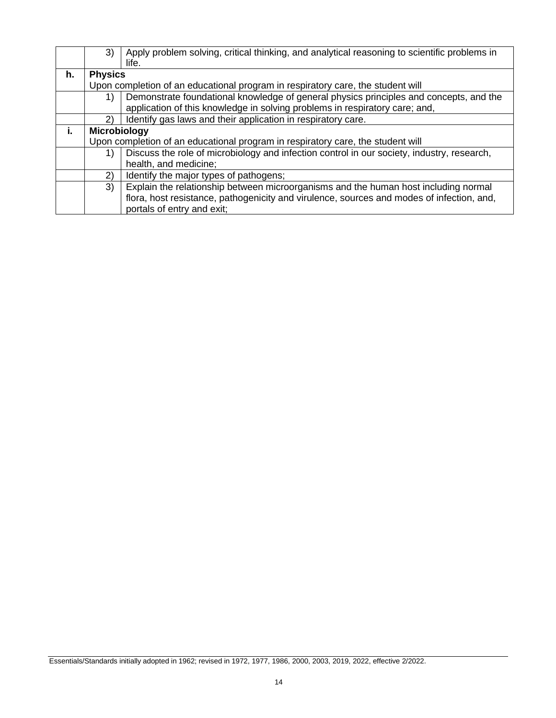|    | 3)                                                                 | Apply problem solving, critical thinking, and analytical reasoning to scientific problems in |  |  |  |  |  |  |
|----|--------------------------------------------------------------------|----------------------------------------------------------------------------------------------|--|--|--|--|--|--|
|    |                                                                    | life.                                                                                        |  |  |  |  |  |  |
| h. | <b>Physics</b>                                                     |                                                                                              |  |  |  |  |  |  |
|    |                                                                    | Upon completion of an educational program in respiratory care, the student will              |  |  |  |  |  |  |
|    | 1)                                                                 | Demonstrate foundational knowledge of general physics principles and concepts, and the       |  |  |  |  |  |  |
|    |                                                                    | application of this knowledge in solving problems in respiratory care; and,                  |  |  |  |  |  |  |
|    | Identify gas laws and their application in respiratory care.<br>2) |                                                                                              |  |  |  |  |  |  |
| Т. | <b>Microbiology</b>                                                |                                                                                              |  |  |  |  |  |  |
|    |                                                                    | Upon completion of an educational program in respiratory care, the student will              |  |  |  |  |  |  |
|    | 1)                                                                 | Discuss the role of microbiology and infection control in our society, industry, research,   |  |  |  |  |  |  |
|    |                                                                    | health, and medicine;                                                                        |  |  |  |  |  |  |
|    | 2)                                                                 | Identify the major types of pathogens;                                                       |  |  |  |  |  |  |
|    | 3)                                                                 | Explain the relationship between microorganisms and the human host including normal          |  |  |  |  |  |  |
|    |                                                                    | flora, host resistance, pathogenicity and virulence, sources and modes of infection, and,    |  |  |  |  |  |  |
|    |                                                                    | portals of entry and exit;                                                                   |  |  |  |  |  |  |

Essentials/Standards initially adopted in 1962; revised in 1972, 1977, 1986, 2000, 2003, 2019, 2022, effective 2/2022.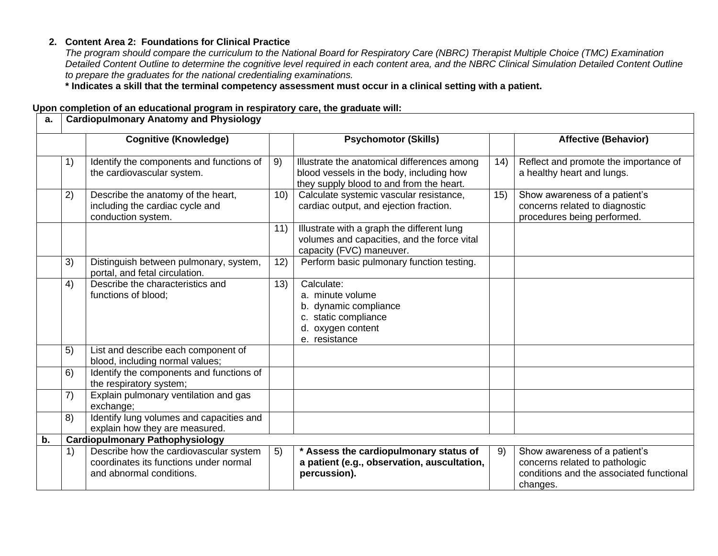## **2. Content Area 2: Foundations for Clinical Practice**

*The program should compare the curriculum to the National Board for Respiratory Care (NBRC) Therapist Multiple Choice (TMC) Examination Detailed Content Outline to determine the cognitive level required in each content area, and the NBRC Clinical Simulation Detailed Content Outline to prepare the graduates for the national credentialing examinations.*

**\* Indicates a skill that the terminal competency assessment must occur in a clinical setting with a patient.**

#### **a. Cardiopulmonary Anatomy and Physiology Cognitive (Knowledge) Psychomotor (Skills) Affective (Behavior) Affective (Behavior)** 1) Identify the components and functions of the cardiovascular system. 9) Illustrate the anatomical differences among blood vessels in the body, including how they supply blood to and from the heart. 14) Reflect and promote the importance of a healthy heart and lungs. 2) Describe the anatomy of the heart, including the cardiac cycle and conduction system. 10) Calculate systemic vascular resistance, cardiac output, and ejection fraction. 15) Show awareness of a patient's concerns related to diagnostic procedures being performed. 11) Illustrate with a graph the different lung volumes and capacities, and the force vital capacity (FVC) maneuver. 3) Distinguish between pulmonary, system, portal, and fetal circulation. 12) Perform basic pulmonary function testing. 4) Describe the characteristics and functions of blood; 13) Calculate: a. minute volume b. dynamic compliance c. static compliance d. oxygen content e. resistance 5) List and describe each component of blood, including normal values; 6) Identify the components and functions of the respiratory system; 7) Explain pulmonary ventilation and gas exchange: 8) dentify lung volumes and capacities and explain how they are measured. **b. Cardiopulmonary Pathophysiology** 1) Describe how the cardiovascular system coordinates its functions under normal and abnormal conditions. 5) **\* Assess the cardiopulmonary status of a patient (e.g., observation, auscultation, percussion).** 9) Show awareness of a patient's concerns related to pathologic conditions and the associated functional

changes.

#### **Upon completion of an educational program in respiratory care, the graduate will:**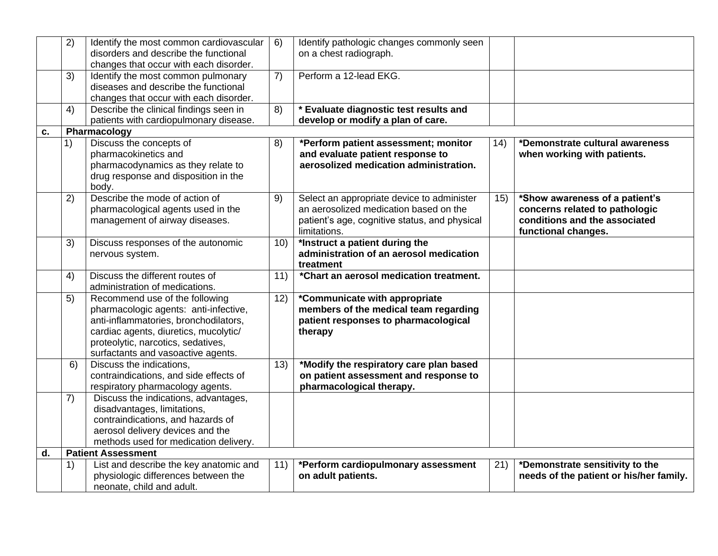|    | 2) | Identify the most common cardiovascular | 6)  | Identify pathologic changes commonly seen     |     |                                         |
|----|----|-----------------------------------------|-----|-----------------------------------------------|-----|-----------------------------------------|
|    |    | disorders and describe the functional   |     | on a chest radiograph.                        |     |                                         |
|    |    | changes that occur with each disorder.  |     |                                               |     |                                         |
|    | 3) | Identify the most common pulmonary      | 7)  | Perform a 12-lead EKG.                        |     |                                         |
|    |    | diseases and describe the functional    |     |                                               |     |                                         |
|    |    | changes that occur with each disorder.  |     |                                               |     |                                         |
|    | 4) | Describe the clinical findings seen in  | 8)  | * Evaluate diagnostic test results and        |     |                                         |
|    |    | patients with cardiopulmonary disease.  |     | develop or modify a plan of care.             |     |                                         |
| C. |    | Pharmacology                            |     |                                               |     |                                         |
|    | 1) | Discuss the concepts of                 | 8)  | *Perform patient assessment; monitor          | 14) | *Demonstrate cultural awareness         |
|    |    | pharmacokinetics and                    |     | and evaluate patient response to              |     | when working with patients.             |
|    |    | pharmacodynamics as they relate to      |     | aerosolized medication administration.        |     |                                         |
|    |    | drug response and disposition in the    |     |                                               |     |                                         |
|    |    | body.                                   |     |                                               |     |                                         |
|    | 2) | Describe the mode of action of          | 9)  | Select an appropriate device to administer    | 15) | *Show awareness of a patient's          |
|    |    | pharmacological agents used in the      |     | an aerosolized medication based on the        |     | concerns related to pathologic          |
|    |    | management of airway diseases.          |     | patient's age, cognitive status, and physical |     | conditions and the associated           |
|    |    |                                         |     | limitations.                                  |     | functional changes.                     |
|    | 3) | Discuss responses of the autonomic      | 10) | *Instruct a patient during the                |     |                                         |
|    |    | nervous system.                         |     | administration of an aerosol medication       |     |                                         |
|    |    |                                         |     | treatment                                     |     |                                         |
|    | 4) | Discuss the different routes of         | 11) | *Chart an aerosol medication treatment.       |     |                                         |
|    |    | administration of medications.          |     |                                               |     |                                         |
|    | 5) | Recommend use of the following          | 12) | *Communicate with appropriate                 |     |                                         |
|    |    | pharmacologic agents: anti-infective,   |     | members of the medical team regarding         |     |                                         |
|    |    | anti-inflammatories, bronchodilators,   |     | patient responses to pharmacological          |     |                                         |
|    |    | cardiac agents, diuretics, mucolytic/   |     | therapy                                       |     |                                         |
|    |    | proteolytic, narcotics, sedatives,      |     |                                               |     |                                         |
|    |    | surfactants and vasoactive agents.      |     |                                               |     |                                         |
|    | 6) | Discuss the indications.                | 13) | *Modify the respiratory care plan based       |     |                                         |
|    |    | contraindications, and side effects of  |     | on patient assessment and response to         |     |                                         |
|    |    | respiratory pharmacology agents.        |     | pharmacological therapy.                      |     |                                         |
|    | 7) | Discuss the indications, advantages,    |     |                                               |     |                                         |
|    |    | disadvantages, limitations,             |     |                                               |     |                                         |
|    |    | contraindications, and hazards of       |     |                                               |     |                                         |
|    |    | aerosol delivery devices and the        |     |                                               |     |                                         |
|    |    | methods used for medication delivery.   |     |                                               |     |                                         |
| d. |    | <b>Patient Assessment</b>               |     |                                               |     |                                         |
|    | 1) | List and describe the key anatomic and  | 11) | *Perform cardiopulmonary assessment           | 21) | *Demonstrate sensitivity to the         |
|    |    | physiologic differences between the     |     | on adult patients.                            |     | needs of the patient or his/her family. |
|    |    | neonate, child and adult.               |     |                                               |     |                                         |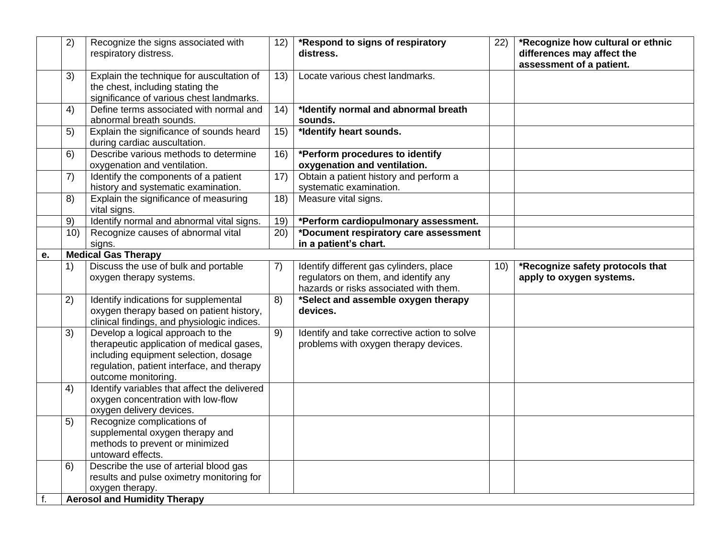|    | 2)  | Recognize the signs associated with<br>respiratory distress.                                                                                                                                 | 12) | *Respond to signs of respiratory<br>distress.                                                                             | 22) | *Recognize how cultural or ethnic<br>differences may affect the<br>assessment of a patient. |
|----|-----|----------------------------------------------------------------------------------------------------------------------------------------------------------------------------------------------|-----|---------------------------------------------------------------------------------------------------------------------------|-----|---------------------------------------------------------------------------------------------|
|    | 3)  | Explain the technique for auscultation of<br>the chest, including stating the<br>significance of various chest landmarks.                                                                    | 13) | Locate various chest landmarks.                                                                                           |     |                                                                                             |
|    | 4)  | Define terms associated with normal and<br>abnormal breath sounds.                                                                                                                           | 14) | *Identify normal and abnormal breath<br>sounds.                                                                           |     |                                                                                             |
|    | 5)  | Explain the significance of sounds heard<br>during cardiac auscultation.                                                                                                                     | 15) | *Identify heart sounds.                                                                                                   |     |                                                                                             |
|    | 6)  | Describe various methods to determine<br>oxygenation and ventilation.                                                                                                                        | 16) | *Perform procedures to identify<br>oxygenation and ventilation.                                                           |     |                                                                                             |
|    | 7)  | Identify the components of a patient<br>history and systematic examination.                                                                                                                  | 17) | Obtain a patient history and perform a<br>systematic examination.                                                         |     |                                                                                             |
|    | 8)  | Explain the significance of measuring<br>vital signs.                                                                                                                                        | 18) | Measure vital signs.                                                                                                      |     |                                                                                             |
|    | 9)  | Identify normal and abnormal vital signs.                                                                                                                                                    | 19) | *Perform cardiopulmonary assessment.                                                                                      |     |                                                                                             |
|    | 10) | Recognize causes of abnormal vital                                                                                                                                                           | 20) | *Document respiratory care assessment                                                                                     |     |                                                                                             |
|    |     | signs.                                                                                                                                                                                       |     | in a patient's chart.                                                                                                     |     |                                                                                             |
| е. |     | <b>Medical Gas Therapy</b>                                                                                                                                                                   |     |                                                                                                                           |     |                                                                                             |
|    | 1)  | Discuss the use of bulk and portable<br>oxygen therapy systems.                                                                                                                              | 7)  | Identify different gas cylinders, place<br>regulators on them, and identify any<br>hazards or risks associated with them. | 10) | *Recognize safety protocols that<br>apply to oxygen systems.                                |
|    | 2)  | Identify indications for supplemental<br>oxygen therapy based on patient history,<br>clinical findings, and physiologic indices.                                                             | 8)  | *Select and assemble oxygen therapy<br>devices.                                                                           |     |                                                                                             |
|    | 3)  | Develop a logical approach to the<br>therapeutic application of medical gases,<br>including equipment selection, dosage<br>regulation, patient interface, and therapy<br>outcome monitoring. | 9)  | Identify and take corrective action to solve<br>problems with oxygen therapy devices.                                     |     |                                                                                             |
|    | 4)  | Identify variables that affect the delivered<br>oxygen concentration with low-flow<br>oxygen delivery devices.                                                                               |     |                                                                                                                           |     |                                                                                             |
|    | 5)  | Recognize complications of<br>supplemental oxygen therapy and<br>methods to prevent or minimized<br>untoward effects.                                                                        |     |                                                                                                                           |     |                                                                                             |
|    | 6)  | Describe the use of arterial blood gas<br>results and pulse oximetry monitoring for<br>oxygen therapy.                                                                                       |     |                                                                                                                           |     |                                                                                             |
| f. |     | <b>Aerosol and Humidity Therapy</b>                                                                                                                                                          |     |                                                                                                                           |     |                                                                                             |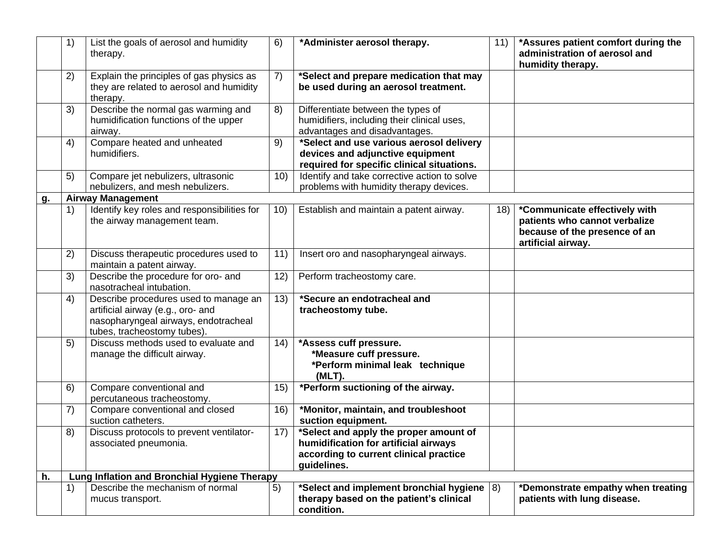|           | 1) | List the goals of aerosol and humidity<br>therapy.                                                                                                | 6)   | *Administer aerosol therapy.                                                                                                             | 11) | *Assures patient comfort during the<br>administration of aerosol and<br>humidity therapy.                             |
|-----------|----|---------------------------------------------------------------------------------------------------------------------------------------------------|------|------------------------------------------------------------------------------------------------------------------------------------------|-----|-----------------------------------------------------------------------------------------------------------------------|
|           | 2) | Explain the principles of gas physics as<br>they are related to aerosol and humidity<br>therapy.                                                  | 7)   | *Select and prepare medication that may<br>be used during an aerosol treatment.                                                          |     |                                                                                                                       |
|           | 3) | Describe the normal gas warming and<br>humidification functions of the upper<br>airway.                                                           | 8)   | Differentiate between the types of<br>humidifiers, including their clinical uses,<br>advantages and disadvantages.                       |     |                                                                                                                       |
|           | 4) | Compare heated and unheated<br>humidifiers.                                                                                                       | 9)   | *Select and use various aerosol delivery<br>devices and adjunctive equipment<br>required for specific clinical situations.               |     |                                                                                                                       |
|           | 5) | Compare jet nebulizers, ultrasonic<br>nebulizers, and mesh nebulizers.                                                                            | 10)  | Identify and take corrective action to solve<br>problems with humidity therapy devices.                                                  |     |                                                                                                                       |
| <u>g.</u> |    | <b>Airway Management</b>                                                                                                                          |      |                                                                                                                                          |     |                                                                                                                       |
|           | 1) | Identify key roles and responsibilities for<br>the airway management team.                                                                        | 10)  | Establish and maintain a patent airway.                                                                                                  | 18) | *Communicate effectively with<br>patients who cannot verbalize<br>because of the presence of an<br>artificial airway. |
|           | 2) | Discuss therapeutic procedures used to<br>maintain a patent airway.                                                                               | 11)  | Insert oro and nasopharyngeal airways.                                                                                                   |     |                                                                                                                       |
|           | 3) | Describe the procedure for oro- and<br>nasotracheal intubation.                                                                                   | 12)  | Perform tracheostomy care.                                                                                                               |     |                                                                                                                       |
|           | 4) | Describe procedures used to manage an<br>artificial airway (e.g., oro- and<br>nasopharyngeal airways, endotracheal<br>tubes, tracheostomy tubes). | 13)  | *Secure an endotracheal and<br>tracheostomy tube.                                                                                        |     |                                                                                                                       |
|           | 5) | Discuss methods used to evaluate and<br>manage the difficult airway.                                                                              | (14) | *Assess cuff pressure.<br>*Measure cuff pressure.<br>*Perform minimal leak technique<br>$(MLT)$ .                                        |     |                                                                                                                       |
|           | 6) | Compare conventional and<br>percutaneous tracheostomy.                                                                                            | 15)  | *Perform suctioning of the airway.                                                                                                       |     |                                                                                                                       |
|           | 7) | Compare conventional and closed<br>suction catheters.                                                                                             | 16)  | *Monitor, maintain, and troubleshoot<br>suction equipment.                                                                               |     |                                                                                                                       |
|           | 8) | Discuss protocols to prevent ventilator-<br>associated pneumonia.                                                                                 | 17)  | *Select and apply the proper amount of<br>humidification for artificial airways<br>according to current clinical practice<br>guidelines. |     |                                                                                                                       |
| h.        |    | Lung Inflation and Bronchial Hygiene Therapy                                                                                                      |      |                                                                                                                                          |     |                                                                                                                       |
|           | 1) | Describe the mechanism of normal<br>mucus transport.                                                                                              | 5)   | *Select and implement bronchial hygiene (8)<br>therapy based on the patient's clinical<br>condition.                                     |     | *Demonstrate empathy when treating<br>patients with lung disease.                                                     |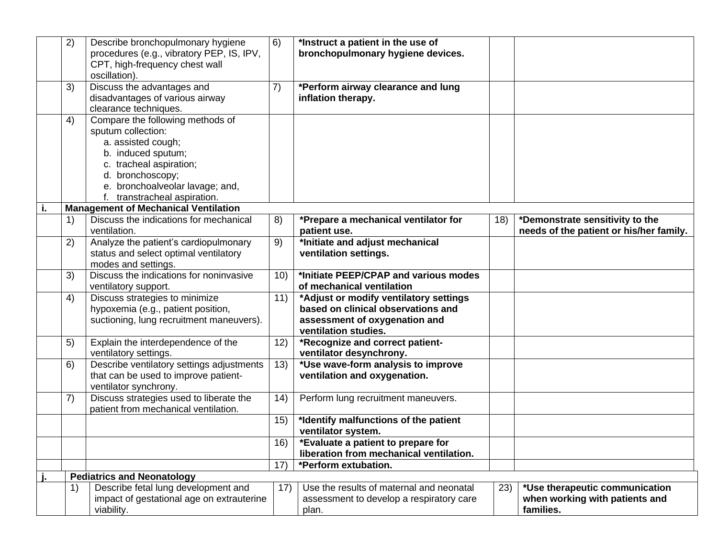|    | 2) | Describe bronchopulmonary hygiene<br>procedures (e.g., vibratory PEP, IS, IPV,<br>CPT, high-frequency chest wall<br>oscillation).                                                                                    | 6)   | *Instruct a patient in the use of<br>bronchopulmonary hygiene devices.                                                                |     |                                                                               |
|----|----|----------------------------------------------------------------------------------------------------------------------------------------------------------------------------------------------------------------------|------|---------------------------------------------------------------------------------------------------------------------------------------|-----|-------------------------------------------------------------------------------|
|    | 3) | Discuss the advantages and<br>disadvantages of various airway<br>clearance techniques.                                                                                                                               | 7)   | *Perform airway clearance and lung<br>inflation therapy.                                                                              |     |                                                                               |
|    | 4) | Compare the following methods of<br>sputum collection:<br>a. assisted cough;<br>b. induced sputum;<br>c. tracheal aspiration;<br>d. bronchoscopy;<br>e. bronchoalveolar lavage; and,<br>f. transtracheal aspiration. |      |                                                                                                                                       |     |                                                                               |
| j. |    | <b>Management of Mechanical Ventilation</b>                                                                                                                                                                          |      |                                                                                                                                       |     |                                                                               |
|    | 1) | Discuss the indications for mechanical<br>ventilation.                                                                                                                                                               | 8)   | *Prepare a mechanical ventilator for<br>patient use.                                                                                  | 18) | *Demonstrate sensitivity to the<br>needs of the patient or his/her family.    |
|    | 2) | Analyze the patient's cardiopulmonary<br>status and select optimal ventilatory<br>modes and settings.                                                                                                                | 9)   | *Initiate and adjust mechanical<br>ventilation settings.                                                                              |     |                                                                               |
|    | 3) | Discuss the indications for noninvasive<br>ventilatory support.                                                                                                                                                      | 10)  | *Initiate PEEP/CPAP and various modes<br>of mechanical ventilation                                                                    |     |                                                                               |
|    | 4) | Discuss strategies to minimize<br>hypoxemia (e.g., patient position,<br>suctioning, lung recruitment maneuvers).                                                                                                     | 11)  | *Adjust or modify ventilatory settings<br>based on clinical observations and<br>assessment of oxygenation and<br>ventilation studies. |     |                                                                               |
|    | 5) | Explain the interdependence of the<br>ventilatory settings.                                                                                                                                                          | 12)  | *Recognize and correct patient-<br>ventilator desynchrony.                                                                            |     |                                                                               |
|    | 6) | Describe ventilatory settings adjustments<br>that can be used to improve patient-<br>ventilator synchrony.                                                                                                           | 13)  | *Use wave-form analysis to improve<br>ventilation and oxygenation.                                                                    |     |                                                                               |
|    | 7) | Discuss strategies used to liberate the<br>patient from mechanical ventilation.                                                                                                                                      | (14) | Perform lung recruitment maneuvers.                                                                                                   |     |                                                                               |
|    |    |                                                                                                                                                                                                                      | 15)  | *Identify malfunctions of the patient<br>ventilator system.                                                                           |     |                                                                               |
|    |    |                                                                                                                                                                                                                      | 16)  | *Evaluate a patient to prepare for<br>liberation from mechanical ventilation.                                                         |     |                                                                               |
|    |    |                                                                                                                                                                                                                      | 17)  | *Perform extubation.                                                                                                                  |     |                                                                               |
|    |    | <b>Pediatrics and Neonatology</b>                                                                                                                                                                                    |      |                                                                                                                                       |     |                                                                               |
|    | 1) | Describe fetal lung development and<br>impact of gestational age on extrauterine<br>viability.                                                                                                                       | 17)  | Use the results of maternal and neonatal<br>assessment to develop a respiratory care<br>plan.                                         | 23) | *Use therapeutic communication<br>when working with patients and<br>families. |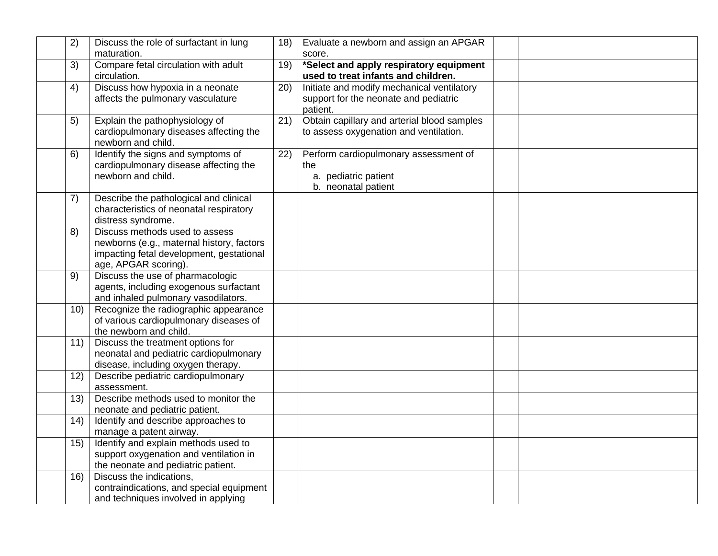| 2)  | Discuss the role of surfactant in lung<br>maturation.                                                                                           | 18)  | Evaluate a newborn and assign an APGAR<br>score.                                                |  |
|-----|-------------------------------------------------------------------------------------------------------------------------------------------------|------|-------------------------------------------------------------------------------------------------|--|
| 3)  | Compare fetal circulation with adult<br>circulation.                                                                                            | 19)  | *Select and apply respiratory equipment<br>used to treat infants and children.                  |  |
| 4)  | Discuss how hypoxia in a neonate<br>affects the pulmonary vasculature                                                                           | (20) | Initiate and modify mechanical ventilatory<br>support for the neonate and pediatric<br>patient. |  |
| 5)  | Explain the pathophysiology of<br>cardiopulmonary diseases affecting the<br>newborn and child.                                                  | 21)  | Obtain capillary and arterial blood samples<br>to assess oxygenation and ventilation.           |  |
| 6)  | Identify the signs and symptoms of<br>cardiopulmonary disease affecting the<br>newborn and child.                                               | 22)  | Perform cardiopulmonary assessment of<br>the<br>a. pediatric patient<br>b. neonatal patient     |  |
| 7)  | Describe the pathological and clinical<br>characteristics of neonatal respiratory<br>distress syndrome.                                         |      |                                                                                                 |  |
| 8)  | Discuss methods used to assess<br>newborns (e.g., maternal history, factors<br>impacting fetal development, gestational<br>age, APGAR scoring). |      |                                                                                                 |  |
| 9)  | Discuss the use of pharmacologic<br>agents, including exogenous surfactant<br>and inhaled pulmonary vasodilators.                               |      |                                                                                                 |  |
| 10) | Recognize the radiographic appearance<br>of various cardiopulmonary diseases of<br>the newborn and child.                                       |      |                                                                                                 |  |
| 11) | Discuss the treatment options for<br>neonatal and pediatric cardiopulmonary<br>disease, including oxygen therapy.                               |      |                                                                                                 |  |
| 12) | Describe pediatric cardiopulmonary<br>assessment.                                                                                               |      |                                                                                                 |  |
| 13) | Describe methods used to monitor the<br>neonate and pediatric patient.                                                                          |      |                                                                                                 |  |
| 14) | Identify and describe approaches to<br>manage a patent airway.                                                                                  |      |                                                                                                 |  |
| 15) | Identify and explain methods used to<br>support oxygenation and ventilation in<br>the neonate and pediatric patient.                            |      |                                                                                                 |  |
| 16) | Discuss the indications.<br>contraindications, and special equipment<br>and techniques involved in applying                                     |      |                                                                                                 |  |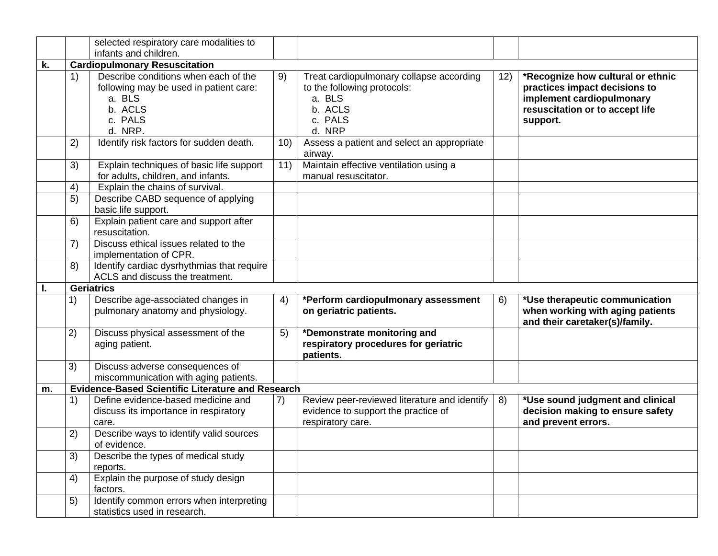|    |                   | selected respiratory care modalities to                                                                                |     |                                                               |     |                                                                                                      |
|----|-------------------|------------------------------------------------------------------------------------------------------------------------|-----|---------------------------------------------------------------|-----|------------------------------------------------------------------------------------------------------|
|    |                   | infants and children.                                                                                                  |     |                                                               |     |                                                                                                      |
| k. | 1)                | <b>Cardiopulmonary Resuscitation</b><br>Describe conditions when each of the<br>following may be used in patient care: | 9)  | Treat cardiopulmonary collapse according                      | 12) | *Recognize how cultural or ethnic                                                                    |
|    |                   | a. BLS                                                                                                                 |     | to the following protocols:<br>a. BLS                         |     | practices impact decisions to<br>implement cardiopulmonary                                           |
|    |                   | b. ACLS                                                                                                                |     | b. ACLS                                                       |     | resuscitation or to accept life                                                                      |
|    |                   | c. PALS                                                                                                                |     | c. PALS                                                       |     | support.                                                                                             |
|    |                   | d. NRP.                                                                                                                |     | d. NRP                                                        |     |                                                                                                      |
|    | 2)                | Identify risk factors for sudden death.                                                                                | 10) | Assess a patient and select an appropriate<br>airway.         |     |                                                                                                      |
|    | 3)                | Explain techniques of basic life support                                                                               | 11) | Maintain effective ventilation using a                        |     |                                                                                                      |
|    |                   | for adults, children, and infants.                                                                                     |     | manual resuscitator.                                          |     |                                                                                                      |
|    | 4)                | Explain the chains of survival.                                                                                        |     |                                                               |     |                                                                                                      |
|    | 5)                | Describe CABD sequence of applying<br>basic life support.                                                              |     |                                                               |     |                                                                                                      |
|    | 6)                | Explain patient care and support after<br>resuscitation.                                                               |     |                                                               |     |                                                                                                      |
|    | $\left( 7\right)$ | Discuss ethical issues related to the<br>implementation of CPR.                                                        |     |                                                               |     |                                                                                                      |
|    | 8)                | Identify cardiac dysrhythmias that require<br>ACLS and discuss the treatment.                                          |     |                                                               |     |                                                                                                      |
| ı. |                   | <b>Geriatrics</b>                                                                                                      |     |                                                               |     |                                                                                                      |
|    | 1)                | Describe age-associated changes in<br>pulmonary anatomy and physiology.                                                | 4)  | *Perform cardiopulmonary assessment<br>on geriatric patients. | 6)  | *Use therapeutic communication<br>when working with aging patients<br>and their caretaker(s)/family. |
|    | 2)                | Discuss physical assessment of the                                                                                     | 5)  | *Demonstrate monitoring and                                   |     |                                                                                                      |
|    |                   | aging patient.                                                                                                         |     | respiratory procedures for geriatric<br>patients.             |     |                                                                                                      |
|    | 3)                | Discuss adverse consequences of                                                                                        |     |                                                               |     |                                                                                                      |
|    |                   | miscommunication with aging patients.                                                                                  |     |                                                               |     |                                                                                                      |
| m. |                   | <b>Evidence-Based Scientific Literature and Research</b>                                                               |     |                                                               |     |                                                                                                      |
|    | 1)                | Define evidence-based medicine and                                                                                     | 7)  | Review peer-reviewed literature and identify                  | 8)  | *Use sound judgment and clinical                                                                     |
|    |                   | discuss its importance in respiratory                                                                                  |     | evidence to support the practice of                           |     | decision making to ensure safety                                                                     |
|    |                   | care.<br>Describe ways to identify valid sources                                                                       |     | respiratory care.                                             |     | and prevent errors.                                                                                  |
|    | 2)                | of evidence.                                                                                                           |     |                                                               |     |                                                                                                      |
|    | 3)                | Describe the types of medical study<br>reports.                                                                        |     |                                                               |     |                                                                                                      |
|    | 4)                | Explain the purpose of study design<br>factors.                                                                        |     |                                                               |     |                                                                                                      |
|    | 5)                | Identify common errors when interpreting<br>statistics used in research.                                               |     |                                                               |     |                                                                                                      |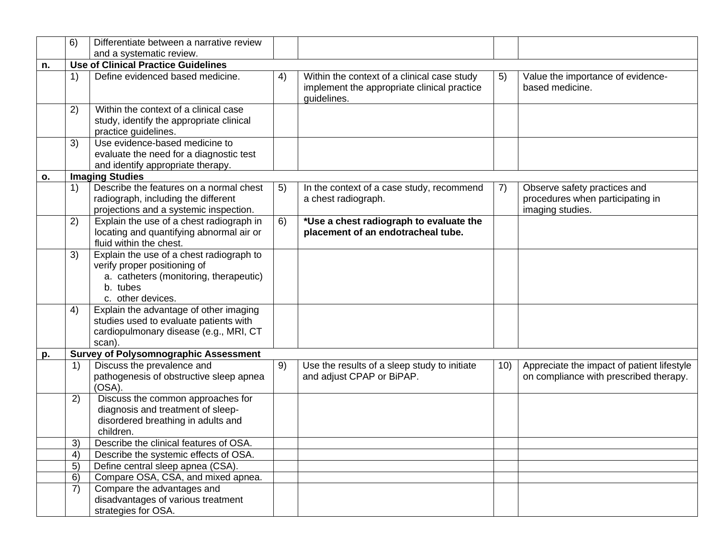|    | 6) | Differentiate between a narrative review                                                                                                            |    |                                                                                                           |     |                                                                                      |
|----|----|-----------------------------------------------------------------------------------------------------------------------------------------------------|----|-----------------------------------------------------------------------------------------------------------|-----|--------------------------------------------------------------------------------------|
|    |    | and a systematic review.                                                                                                                            |    |                                                                                                           |     |                                                                                      |
| n. |    | <b>Use of Clinical Practice Guidelines</b>                                                                                                          |    |                                                                                                           |     |                                                                                      |
|    | 1) | Define evidenced based medicine.                                                                                                                    | 4) | Within the context of a clinical case study<br>implement the appropriate clinical practice<br>guidelines. | 5)  | Value the importance of evidence-<br>based medicine.                                 |
|    | 2) | Within the context of a clinical case<br>study, identify the appropriate clinical<br>practice guidelines.                                           |    |                                                                                                           |     |                                                                                      |
|    | 3) | Use evidence-based medicine to<br>evaluate the need for a diagnostic test<br>and identify appropriate therapy.                                      |    |                                                                                                           |     |                                                                                      |
| 0. |    | <b>Imaging Studies</b>                                                                                                                              |    |                                                                                                           |     |                                                                                      |
|    | 1) | Describe the features on a normal chest<br>radiograph, including the different<br>projections and a systemic inspection.                            | 5) | In the context of a case study, recommend<br>a chest radiograph.                                          | 7)  | Observe safety practices and<br>procedures when participating in<br>imaging studies. |
|    | 2) | Explain the use of a chest radiograph in<br>locating and quantifying abnormal air or<br>fluid within the chest.                                     | 6) | *Use a chest radiograph to evaluate the<br>placement of an endotracheal tube.                             |     |                                                                                      |
|    | 3) | Explain the use of a chest radiograph to<br>verify proper positioning of<br>a. catheters (monitoring, therapeutic)<br>b. tubes<br>c. other devices. |    |                                                                                                           |     |                                                                                      |
|    | 4) | Explain the advantage of other imaging<br>studies used to evaluate patients with<br>cardiopulmonary disease (e.g., MRI, CT<br>scan).                |    |                                                                                                           |     |                                                                                      |
| р. |    | <b>Survey of Polysomnographic Assessment</b>                                                                                                        |    |                                                                                                           |     |                                                                                      |
|    | 1) | Discuss the prevalence and<br>pathogenesis of obstructive sleep apnea<br>(OSA).                                                                     | 9) | Use the results of a sleep study to initiate<br>and adjust CPAP or BiPAP.                                 | 10) | Appreciate the impact of patient lifestyle<br>on compliance with prescribed therapy. |
|    | 2) | Discuss the common approaches for<br>diagnosis and treatment of sleep-<br>disordered breathing in adults and<br>children.                           |    |                                                                                                           |     |                                                                                      |
|    | 3) | Describe the clinical features of OSA.                                                                                                              |    |                                                                                                           |     |                                                                                      |
|    | 4) | Describe the systemic effects of OSA.                                                                                                               |    |                                                                                                           |     |                                                                                      |
|    | 5) | Define central sleep apnea (CSA).                                                                                                                   |    |                                                                                                           |     |                                                                                      |
|    | 6) | Compare OSA, CSA, and mixed apnea.                                                                                                                  |    |                                                                                                           |     |                                                                                      |
|    | 7) | Compare the advantages and<br>disadvantages of various treatment<br>strategies for OSA.                                                             |    |                                                                                                           |     |                                                                                      |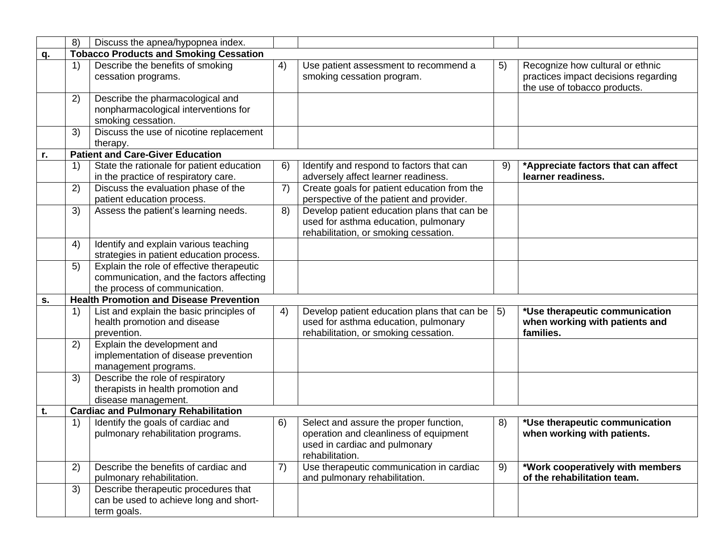|    | 8) | Discuss the apnea/hypopnea index.                                                                                      |    |                                                                                                                                      |    |                                                                                                          |
|----|----|------------------------------------------------------------------------------------------------------------------------|----|--------------------------------------------------------------------------------------------------------------------------------------|----|----------------------------------------------------------------------------------------------------------|
| q. |    | <b>Tobacco Products and Smoking Cessation</b>                                                                          |    |                                                                                                                                      |    |                                                                                                          |
|    | 1) | Describe the benefits of smoking<br>cessation programs.                                                                | 4) | Use patient assessment to recommend a<br>smoking cessation program.                                                                  | 5) | Recognize how cultural or ethnic<br>practices impact decisions regarding<br>the use of tobacco products. |
|    | 2) | Describe the pharmacological and<br>nonpharmacological interventions for<br>smoking cessation.                         |    |                                                                                                                                      |    |                                                                                                          |
|    | 3) | Discuss the use of nicotine replacement<br>therapy.                                                                    |    |                                                                                                                                      |    |                                                                                                          |
| r. |    | <b>Patient and Care-Giver Education</b>                                                                                |    |                                                                                                                                      |    |                                                                                                          |
|    | 1) | State the rationale for patient education<br>in the practice of respiratory care.                                      | 6) | Identify and respond to factors that can<br>adversely affect learner readiness.                                                      | 9) | *Appreciate factors that can affect<br>learner readiness.                                                |
|    | 2) | Discuss the evaluation phase of the<br>patient education process.                                                      | 7) | Create goals for patient education from the<br>perspective of the patient and provider.                                              |    |                                                                                                          |
|    | 3) | Assess the patient's learning needs.                                                                                   | 8) | Develop patient education plans that can be<br>used for asthma education, pulmonary<br>rehabilitation, or smoking cessation.         |    |                                                                                                          |
|    | 4) | Identify and explain various teaching<br>strategies in patient education process.                                      |    |                                                                                                                                      |    |                                                                                                          |
|    | 5) | Explain the role of effective therapeutic<br>communication, and the factors affecting<br>the process of communication. |    |                                                                                                                                      |    |                                                                                                          |
| S. |    | <b>Health Promotion and Disease Prevention</b>                                                                         |    |                                                                                                                                      |    |                                                                                                          |
|    | 1) | List and explain the basic principles of<br>health promotion and disease<br>prevention.                                | 4) | Develop patient education plans that can be<br>used for asthma education, pulmonary<br>rehabilitation, or smoking cessation.         | 5) | *Use therapeutic communication<br>when working with patients and<br>families.                            |
|    | 2) | Explain the development and<br>implementation of disease prevention<br>management programs.                            |    |                                                                                                                                      |    |                                                                                                          |
|    | 3) | Describe the role of respiratory<br>therapists in health promotion and<br>disease management.                          |    |                                                                                                                                      |    |                                                                                                          |
| t. |    | <b>Cardiac and Pulmonary Rehabilitation</b>                                                                            |    |                                                                                                                                      |    |                                                                                                          |
|    | 1) | Identify the goals of cardiac and<br>pulmonary rehabilitation programs.                                                | 6) | Select and assure the proper function,<br>operation and cleanliness of equipment<br>used in cardiac and pulmonary<br>rehabilitation. | 8) | *Use therapeutic communication<br>when working with patients.                                            |
|    | 2) | Describe the benefits of cardiac and<br>pulmonary rehabilitation.                                                      | 7) | Use therapeutic communication in cardiac<br>and pulmonary rehabilitation.                                                            | 9) | *Work cooperatively with members<br>of the rehabilitation team.                                          |
|    | 3) | Describe therapeutic procedures that<br>can be used to achieve long and short-<br>term goals.                          |    |                                                                                                                                      |    |                                                                                                          |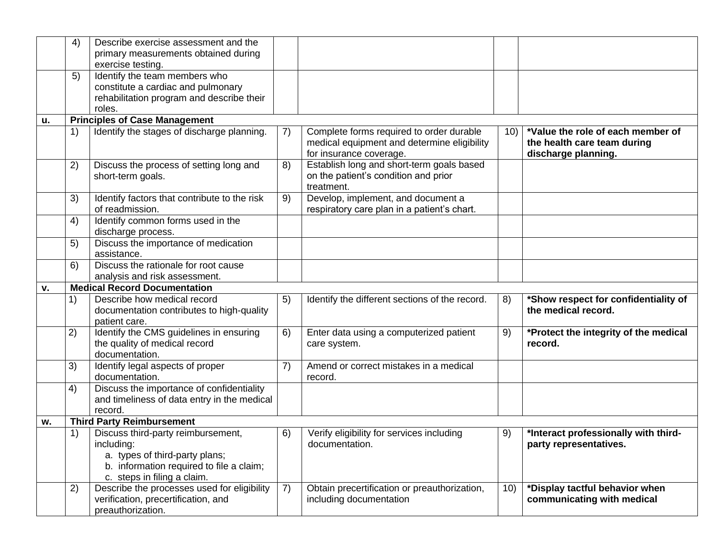|    | 4) | Describe exercise assessment and the                                            |    |                                                                        |     |                                                    |
|----|----|---------------------------------------------------------------------------------|----|------------------------------------------------------------------------|-----|----------------------------------------------------|
|    |    | primary measurements obtained during                                            |    |                                                                        |     |                                                    |
|    |    | exercise testing.                                                               |    |                                                                        |     |                                                    |
|    | 5) | Identify the team members who                                                   |    |                                                                        |     |                                                    |
|    |    | constitute a cardiac and pulmonary<br>rehabilitation program and describe their |    |                                                                        |     |                                                    |
|    |    | roles.                                                                          |    |                                                                        |     |                                                    |
| u. |    | <b>Principles of Case Management</b>                                            |    |                                                                        |     |                                                    |
|    | 1) | Identify the stages of discharge planning.                                      | 7) | Complete forms required to order durable                               | 10) | *Value the role of each member of                  |
|    |    |                                                                                 |    | medical equipment and determine eligibility<br>for insurance coverage. |     | the health care team during<br>discharge planning. |
|    | 2) | Discuss the process of setting long and                                         | 8) | Establish long and short-term goals based                              |     |                                                    |
|    |    | short-term goals.                                                               |    | on the patient's condition and prior                                   |     |                                                    |
|    |    |                                                                                 |    | treatment.                                                             |     |                                                    |
|    | 3) | Identify factors that contribute to the risk                                    | 9) | Develop, implement, and document a                                     |     |                                                    |
|    |    | of readmission.                                                                 |    | respiratory care plan in a patient's chart.                            |     |                                                    |
|    | 4) | Identify common forms used in the                                               |    |                                                                        |     |                                                    |
|    |    | discharge process.                                                              |    |                                                                        |     |                                                    |
|    | 5) | Discuss the importance of medication<br>assistance.                             |    |                                                                        |     |                                                    |
|    | 6) | Discuss the rationale for root cause                                            |    |                                                                        |     |                                                    |
|    |    | analysis and risk assessment.                                                   |    |                                                                        |     |                                                    |
| ۷. |    | <b>Medical Record Documentation</b>                                             |    |                                                                        |     |                                                    |
|    | 1) | Describe how medical record                                                     | 5) | Identify the different sections of the record.                         | 8)  | *Show respect for confidentiality of               |
|    |    | documentation contributes to high-quality                                       |    |                                                                        |     | the medical record.                                |
|    |    | patient care.                                                                   |    |                                                                        |     |                                                    |
|    | 2) | Identify the CMS guidelines in ensuring                                         | 6) | Enter data using a computerized patient                                | 9)  | *Protect the integrity of the medical              |
|    |    | the quality of medical record                                                   |    | care system.                                                           |     | record.                                            |
|    |    | documentation.                                                                  |    |                                                                        |     |                                                    |
|    | 3) | Identify legal aspects of proper                                                | 7) | Amend or correct mistakes in a medical                                 |     |                                                    |
|    |    | documentation.                                                                  |    | record.                                                                |     |                                                    |
|    | 4) | Discuss the importance of confidentiality                                       |    |                                                                        |     |                                                    |
|    |    | and timeliness of data entry in the medical<br>record.                          |    |                                                                        |     |                                                    |
| w. |    | <b>Third Party Reimbursement</b>                                                |    |                                                                        |     |                                                    |
|    | 1) | Discuss third-party reimbursement,                                              | 6) | Verify eligibility for services including                              | 9)  | *Interact professionally with third-               |
|    |    | including:                                                                      |    | documentation.                                                         |     | party representatives.                             |
|    |    | a. types of third-party plans;                                                  |    |                                                                        |     |                                                    |
|    |    | b. information required to file a claim;                                        |    |                                                                        |     |                                                    |
|    |    | c. steps in filing a claim.                                                     |    |                                                                        |     |                                                    |
|    | 2) | Describe the processes used for eligibility                                     | 7) | Obtain precertification or preauthorization,                           | 10) | *Display tactful behavior when                     |
|    |    | verification, precertification, and                                             |    | including documentation                                                |     | communicating with medical                         |
|    |    | preauthorization.                                                               |    |                                                                        |     |                                                    |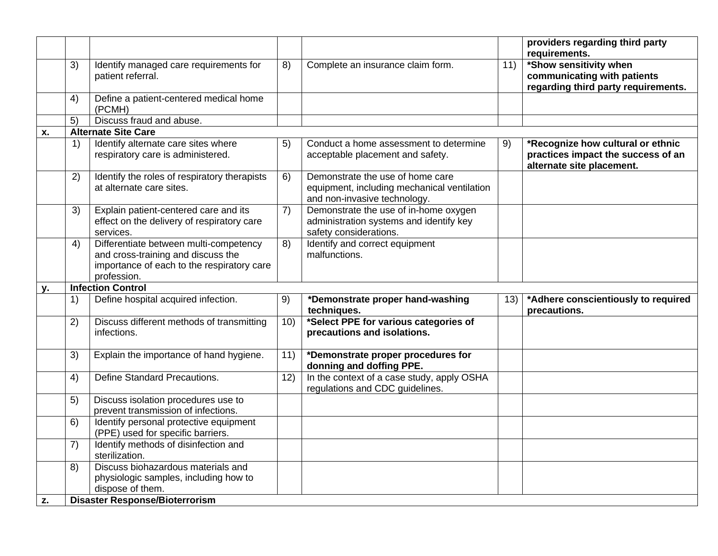|    |    |                                                                                                                                           |     |                                                                                                                 |     | providers regarding third party<br>requirements.                                                     |
|----|----|-------------------------------------------------------------------------------------------------------------------------------------------|-----|-----------------------------------------------------------------------------------------------------------------|-----|------------------------------------------------------------------------------------------------------|
|    | 3) | Identify managed care requirements for<br>patient referral.                                                                               | 8)  | Complete an insurance claim form.                                                                               | 11) | *Show sensitivity when<br>communicating with patients<br>regarding third party requirements.         |
|    | 4) | Define a patient-centered medical home<br>(PCMH)                                                                                          |     |                                                                                                                 |     |                                                                                                      |
|    | 5) | Discuss fraud and abuse.                                                                                                                  |     |                                                                                                                 |     |                                                                                                      |
| Х. |    | <b>Alternate Site Care</b>                                                                                                                |     |                                                                                                                 |     |                                                                                                      |
|    | 1) | Identify alternate care sites where<br>respiratory care is administered.                                                                  | 5)  | Conduct a home assessment to determine<br>acceptable placement and safety.                                      | 9)  | *Recognize how cultural or ethnic<br>practices impact the success of an<br>alternate site placement. |
|    | 2) | Identify the roles of respiratory therapists<br>at alternate care sites.                                                                  | 6)  | Demonstrate the use of home care<br>equipment, including mechanical ventilation<br>and non-invasive technology. |     |                                                                                                      |
|    | 3) | Explain patient-centered care and its<br>effect on the delivery of respiratory care<br>services.                                          | 7)  | Demonstrate the use of in-home oxygen<br>administration systems and identify key<br>safety considerations.      |     |                                                                                                      |
|    | 4) | Differentiate between multi-competency<br>and cross-training and discuss the<br>importance of each to the respiratory care<br>profession. | 8)  | Identify and correct equipment<br>malfunctions.                                                                 |     |                                                                                                      |
| у. |    | <b>Infection Control</b>                                                                                                                  |     |                                                                                                                 |     |                                                                                                      |
|    | 1) | Define hospital acquired infection.                                                                                                       | 9)  | *Demonstrate proper hand-washing<br>techniques.                                                                 | 13) | *Adhere conscientiously to required<br>precautions.                                                  |
|    | 2) | Discuss different methods of transmitting<br>infections.                                                                                  | 10) | *Select PPE for various categories of<br>precautions and isolations.                                            |     |                                                                                                      |
|    | 3) | Explain the importance of hand hygiene.                                                                                                   | 11) | *Demonstrate proper procedures for<br>donning and doffing PPE.                                                  |     |                                                                                                      |
|    | 4) | Define Standard Precautions.                                                                                                              | 12) | In the context of a case study, apply OSHA<br>regulations and CDC guidelines.                                   |     |                                                                                                      |
|    | 5) | Discuss isolation procedures use to<br>prevent transmission of infections.                                                                |     |                                                                                                                 |     |                                                                                                      |
|    | 6) | Identify personal protective equipment<br>(PPE) used for specific barriers.                                                               |     |                                                                                                                 |     |                                                                                                      |
|    | 7) | Identify methods of disinfection and<br>sterilization.                                                                                    |     |                                                                                                                 |     |                                                                                                      |
| z. | 8) | Discuss biohazardous materials and<br>physiologic samples, including how to<br>dispose of them.<br><b>Disaster Response/Bioterrorism</b>  |     |                                                                                                                 |     |                                                                                                      |
|    |    |                                                                                                                                           |     |                                                                                                                 |     |                                                                                                      |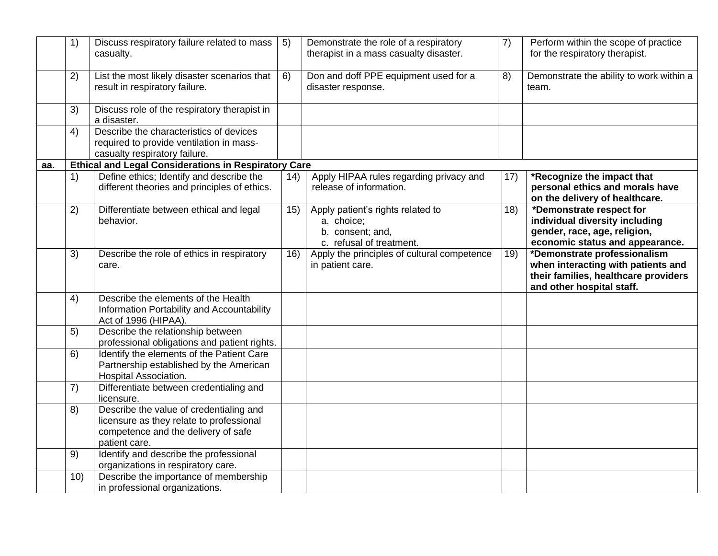|     | 1)  | Discuss respiratory failure related to mass<br>casualty.                                                                                    | 5)   | Demonstrate the role of a respiratory<br>therapist in a mass casualty disaster.                 | 7)  | Perform within the scope of practice<br>for the respiratory therapist.                                                                  |  |  |  |  |
|-----|-----|---------------------------------------------------------------------------------------------------------------------------------------------|------|-------------------------------------------------------------------------------------------------|-----|-----------------------------------------------------------------------------------------------------------------------------------------|--|--|--|--|
|     | 2)  | List the most likely disaster scenarios that<br>result in respiratory failure.                                                              | 6)   | Don and doff PPE equipment used for a<br>disaster response.                                     | 8)  | Demonstrate the ability to work within a<br>team.                                                                                       |  |  |  |  |
|     | 3)  | Discuss role of the respiratory therapist in<br>a disaster.                                                                                 |      |                                                                                                 |     |                                                                                                                                         |  |  |  |  |
|     | 4)  | Describe the characteristics of devices<br>required to provide ventilation in mass-<br>casualty respiratory failure.                        |      |                                                                                                 |     |                                                                                                                                         |  |  |  |  |
| aa. |     | <b>Ethical and Legal Considerations in Respiratory Care</b>                                                                                 |      |                                                                                                 |     |                                                                                                                                         |  |  |  |  |
|     | 1)  | Define ethics; Identify and describe the<br>different theories and principles of ethics.                                                    | (14) | Apply HIPAA rules regarding privacy and<br>release of information.                              | 17) | *Recognize the impact that<br>personal ethics and morals have<br>on the delivery of healthcare.                                         |  |  |  |  |
|     | 2)  | Differentiate between ethical and legal<br>behavior.                                                                                        | 15)  | Apply patient's rights related to<br>a. choice;<br>b. consent; and,<br>c. refusal of treatment. | 18) | *Demonstrate respect for<br>individual diversity including<br>gender, race, age, religion,<br>economic status and appearance.           |  |  |  |  |
|     | 3)  | Describe the role of ethics in respiratory<br>care.                                                                                         | 16)  | Apply the principles of cultural competence<br>in patient care.                                 | 19) | *Demonstrate professionalism<br>when interacting with patients and<br>their families, healthcare providers<br>and other hospital staff. |  |  |  |  |
|     | 4)  | Describe the elements of the Health<br>Information Portability and Accountability<br>Act of 1996 (HIPAA).                                   |      |                                                                                                 |     |                                                                                                                                         |  |  |  |  |
|     | 5)  | Describe the relationship between<br>professional obligations and patient rights.                                                           |      |                                                                                                 |     |                                                                                                                                         |  |  |  |  |
|     | 6)  | Identify the elements of the Patient Care<br>Partnership established by the American<br>Hospital Association.                               |      |                                                                                                 |     |                                                                                                                                         |  |  |  |  |
|     | 7)  | Differentiate between credentialing and<br>licensure.                                                                                       |      |                                                                                                 |     |                                                                                                                                         |  |  |  |  |
|     | 8)  | Describe the value of credentialing and<br>licensure as they relate to professional<br>competence and the delivery of safe<br>patient care. |      |                                                                                                 |     |                                                                                                                                         |  |  |  |  |
|     | 9)  | Identify and describe the professional<br>organizations in respiratory care.                                                                |      |                                                                                                 |     |                                                                                                                                         |  |  |  |  |
|     | 10) | Describe the importance of membership<br>in professional organizations.                                                                     |      |                                                                                                 |     |                                                                                                                                         |  |  |  |  |